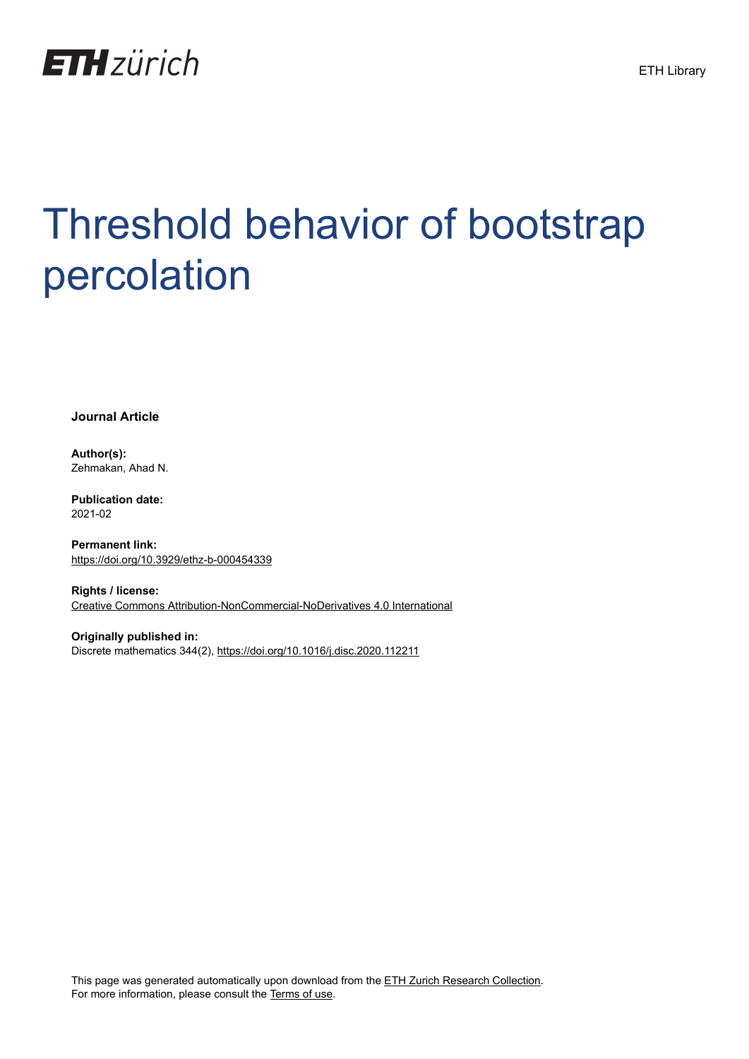

# Threshold behavior of bootstrap percolation

**Journal Article**

**Author(s):** Zehmakan, Ahad N.

**Publication date:** 2021-02

**Permanent link:** <https://doi.org/10.3929/ethz-b-000454339>

**Rights / license:** [Creative Commons Attribution-NonCommercial-NoDerivatives 4.0 International](http://creativecommons.org/licenses/by-nc-nd/4.0/)

**Originally published in:** Discrete mathematics 344(2), <https://doi.org/10.1016/j.disc.2020.112211> ETH Library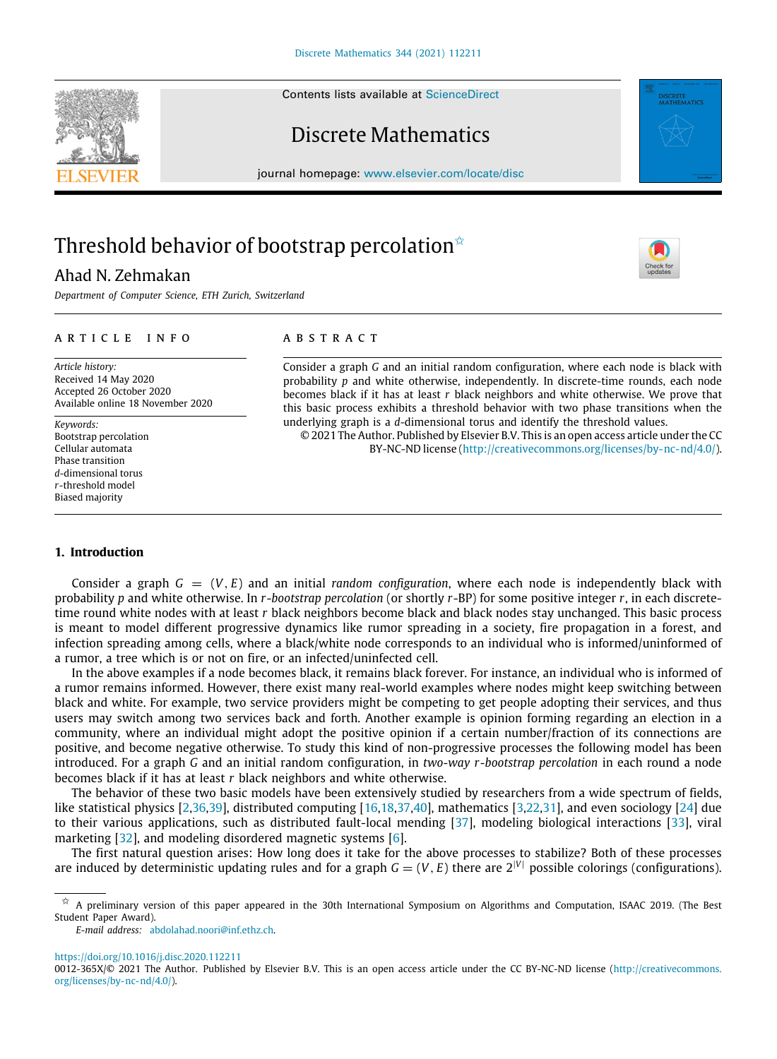Contents lists available at [ScienceDirect](http://www.elsevier.com/locate/disc)

# Discrete Mathematics

journal homepage: [www.elsevier.com/locate/disc](http://www.elsevier.com/locate/disc)

# Threshold behavior of bootstrap percolation<sup> $\dot{\mathbf{x}}$ </sup>

# Ahad N. Zehmakan

*Department of Computer Science, ETH Zurich, Switzerland*

#### a r t i c l e i n f o

*Article history:* Received 14 May 2020 Accepted 26 October 2020 Available online 18 November 2020

*Keywords:* Bootstrap percolation Cellular automata Phase transition *d*-dimensional torus *r*-threshold model Biased majority

# A B S T R A C T

Consider a graph *G* and an initial random configuration, where each node is black with probability *p* and white otherwise, independently. In discrete-time rounds, each node becomes black if it has at least *r* black neighbors and white otherwise. We prove that this basic process exhibits a threshold behavior with two phase transitions when the underlying graph is a *d*-dimensional torus and identify the threshold values.

© 2021 The Author. Published by Elsevier B.V. This is an open access article under the CC BY-NC-ND license [\(http://creativecommons.org/licenses/by-nc-nd/4.0/\)](http://creativecommons.org/licenses/by-nc-nd/4.0/).

# **1. Introduction**

Consider a graph  $G = (V, E)$  and an initial *random configuration*, where each node is independently black with probability *p* and white otherwise. In *r*-*bootstrap percolation* (or shortly *r*-BP) for some positive integer *r*, in each discretetime round white nodes with at least *r* black neighbors become black and black nodes stay unchanged. This basic process is meant to model different progressive dynamics like rumor spreading in a society, fire propagation in a forest, and infection spreading among cells, where a black/white node corresponds to an individual who is informed/uninformed of a rumor, a tree which is or not on fire, or an infected/uninfected cell.

In the above examples if a node becomes black, it remains black forever. For instance, an individual who is informed of a rumor remains informed. However, there exist many real-world examples where nodes might keep switching between black and white. For example, two service providers might be competing to get people adopting their services, and thus users may switch among two services back and forth. Another example is opinion forming regarding an election in a community, where an individual might adopt the positive opinion if a certain number/fraction of its connections are positive, and become negative otherwise. To study this kind of non-progressive processes the following model has been introduced. For a graph *G* and an initial random configuration, in *two-way r-bootstrap percolation* in each round a node becomes black if it has at least *r* black neighbors and white otherwise.

The behavior of these two basic models have been extensively studied by researchers from a wide spectrum of fields, like statistical physics [\[2,](#page-13-0)[36](#page-14-0)[,39\]](#page-14-1), distributed computing [\[16,](#page-13-1)[18](#page-13-2)[,37,](#page-14-2)[40](#page-14-3)], mathematics [\[3,](#page-13-3)[22](#page-13-4)[,31](#page-14-4)], and even sociology [\[24](#page-14-5)] due to their various applications, such as distributed fault-local mending [\[37\]](#page-14-2), modeling biological interactions [\[33](#page-14-6)], viral marketing [[32](#page-14-7)], and modeling disordered magnetic systems [\[6](#page-13-5)].

The first natural question arises: How long does it take for the above processes to stabilize? Both of these processes are induced by deterministic updating rules and for a graph  $G = (V, E)$  there are  $2^{|V|}$  possible colorings (configurations).

*E-mail address:* [abdolahad.noori@inf.ethz.ch.](mailto:abdolahad.noori@inf.ethz.ch)

<https://doi.org/10.1016/j.disc.2020.112211>





<span id="page-1-0"></span> $\hat{\mathbb{X}}$  A preliminary version of this paper appeared in the 30th International Symposium on Algorithms and Computation, ISAAC 2019. (The Best Student Paper Award).

<sup>0012-365</sup>X/© 2021 The Author. Published by Elsevier B.V. This is an open access article under the CC BY-NC-ND license [\(http://creativecommons.](http://creativecommons.org/licenses/by-nc-nd/4.0/) [org/licenses/by-nc-nd/4.0/](http://creativecommons.org/licenses/by-nc-nd/4.0/)).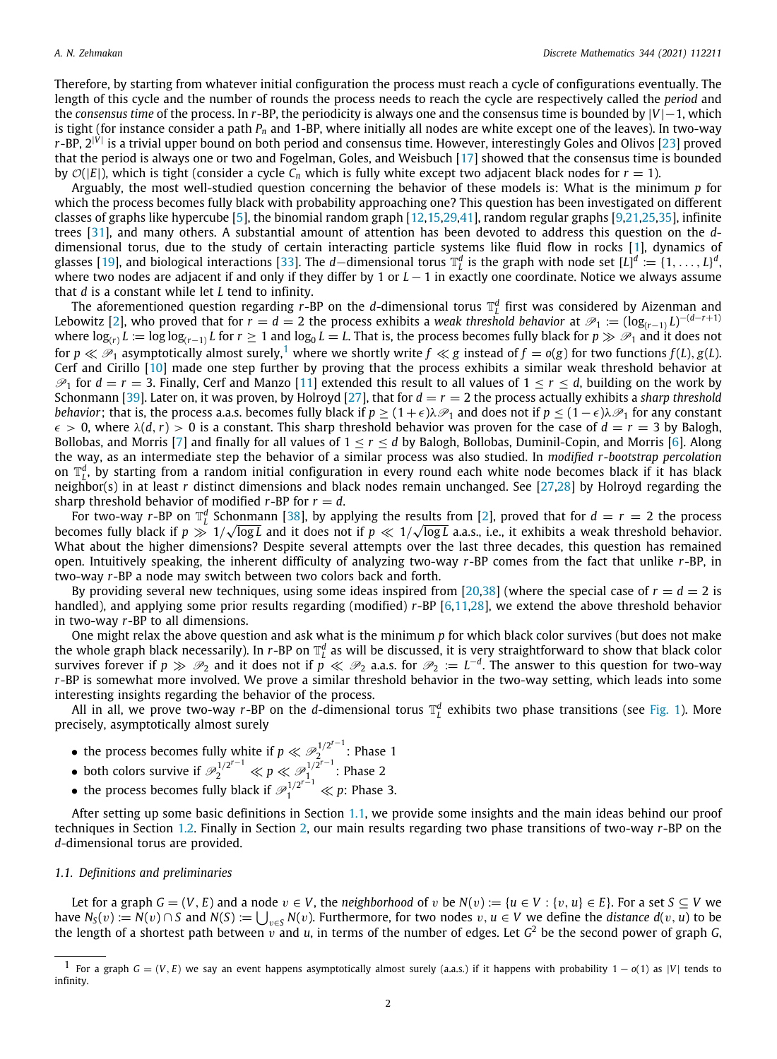Therefore, by starting from whatever initial configuration the process must reach a cycle of configurations eventually. The length of this cycle and the number of rounds the process needs to reach the cycle are respectively called the *period* and the *consensus time* of the process. In *r*-BP, the periodicity is always one and the consensus time is bounded by |*V*|−1, which is tight (for instance consider a path *P<sup>n</sup>* and 1-BP, where initially all nodes are white except one of the leaves). In two-way *r*-BP, 2|*V*<sup>|</sup> is a trivial upper bound on both period and consensus time. However, interestingly Goles and Olivos [\[23\]](#page-13-6) proved that the period is always one or two and Fogelman, Goles, and Weisbuch [[17](#page-13-7)] showed that the consensus time is bounded by  $\mathcal{O}(|E|)$ , which is tight (consider a cycle  $C_n$  which is fully white except two adjacent black nodes for  $r = 1$ ).

Arguably, the most well-studied question concerning the behavior of these models is: What is the minimum *p* for which the process becomes fully black with probability approaching one? This question has been investigated on different classes of graphs like hypercube [[5\]](#page-13-8), the binomial random graph [[12](#page-13-9)[,15,](#page-13-10)[29](#page-14-8)[,41\]](#page-14-9), random regular graphs [[9,](#page-13-11)[21](#page-13-12),[25,](#page-14-10)[35](#page-14-11)], infinite trees [\[31\]](#page-14-4), and many others. A substantial amount of attention has been devoted to address this question on the *d*dimensional torus, due to the study of certain interacting particle systems like fluid flow in rocks [[1\]](#page-13-13), dynamics of glasses [[19\]](#page-13-14), and biological interactions [[33](#page-14-6)]. The *d*—dimensional torus  $\mathbb{T}_L^d$  is the graph with node set  $[L]^d := \{1, \ldots, L\}^d$ , where two nodes are adjacent if and only if they differ by 1 or *L* − 1 in exactly one coordinate. Notice we always assume that *d* is a constant while let *L* tend to infinity.

<span id="page-2-0"></span>The aforementioned question regarding  $r$ -BP on the *d*-dimensional torus  $\mathbb{T}_L^d$  first was considered by Aizenman and Lebowitz [\[2\]](#page-13-0), who proved that for  $r=d=2$  the process exhibits a *weak threshold behavior* at  $\mathscr{P}_1:=(\log_{(r-1)}L)^{-(d-r+1)}$ where log<sub>(r)</sub>  $L:=\log\log_{(r-1)} L$  for  $r\geq 1$  and  $\log_0 L=L$ . That is, the process becomes fully black for  $p\gg \mathscr{P}_1$  and it does not for  $p \ll \mathcal{P}_1$  $p \ll \mathcal{P}_1$  asymptotically almost surely,<sup>1</sup> where we shortly write  $f \ll g$  instead of  $f = o(g)$  for two functions  $f(L)$ ,  $g(L)$ . Cerf and Cirillo [\[10](#page-13-15)] made one step further by proving that the process exhibits a similar weak threshold behavior at  $\mathcal{P}_1$  for  $d = r = 3$ . Finally, Cerf and Manzo [[11](#page-13-16)] extended this result to all values of  $1 \le r \le d$ , building on the work by Schonmann [[39](#page-14-1)]. Later on, it was proven, by Holroyd [\[27\]](#page-14-12), that for *d* = *r* = 2 the process actually exhibits a *sharp threshold behavior*; that is, the process a.a.s. becomes fully black if  $p \geq (1 + \epsilon)\lambda \mathcal{P}_1$  and does not if  $p \leq (1 - \epsilon)\lambda \mathcal{P}_1$  for any constant  $\epsilon > 0$ , where  $\lambda(d, r) > 0$  is a constant. This sharp threshold behavior was proven for the case of  $d = r = 3$  by Balogh, Bollobas, and Morris [\[7](#page-13-17)] and finally for all values of  $1 \le r \le d$  by Balogh, Bollobas, Duminil-Copin, and Morris [\[6](#page-13-5)]. Along the way, as an intermediate step the behavior of a similar process was also studied. In *modified r-bootstrap percolation* on  $\mathbb{T}_L^d$ , by starting from a random initial configuration in every round each white node becomes black if it has black neighbor(s) in at least *r* distinct dimensions and black nodes remain unchanged. See [\[27,](#page-14-12)[28](#page-14-13)] by Holroyd regarding the sharp threshold behavior of modified  $r$ -BP for  $r = d$ .

For two-way *r*-BP on  $\mathbb{T}_l^d$  Schonmann [\[38\]](#page-14-14), by applying the results from [[2\]](#page-13-0), proved that for  $d = r = 2$  the process becomes fully black if  $p \gg 1/\sqrt{\log L}$  and it does not if  $p \ll 1/\sqrt{\log L}$  a.a.s., i.e., it exhibits a weak threshold behavior. What about the higher dimensions? Despite several attempts over the last three decades, this question has remained open. Intuitively speaking, the inherent difficulty of analyzing two-way *r*-BP comes from the fact that unlike *r*-BP, in two-way *r*-BP a node may switch between two colors back and forth.

By providing several new techniques, using some ideas inspired from [\[20](#page-13-18)[,38\]](#page-14-14) (where the special case of  $r = d = 2$  is handled), and applying some prior results regarding (modified) *r*-BP [[6](#page-13-5)[,11](#page-13-16),[28\]](#page-14-13), we extend the above threshold behavior in two-way *r*-BP to all dimensions.

One might relax the above question and ask what is the minimum *p* for which black color survives (but does not make the whole graph black necessarily). In *r*-BP on  $\mathbb{T}_L^d$  as will be discussed, it is very straightforward to show that black color survives forever if  $p \gg \mathcal{P}_2$  and it does not if  $p \ll \mathcal{P}_2$  a.a.s. for  $\mathcal{P}_2 := L^{-d}$ . The answer to this question for two-way *r*-BP is somewhat more involved. We prove a similar threshold behavior in the two-way setting, which leads into some interesting insights regarding the behavior of the process.

All in all, we prove two-way  $r$ -BP on the *d*-dimensional torus  $\mathbb{T}_L^d$  exhibits two phase transitions (see [Fig.](#page-3-0) [1](#page-3-0)). More precisely, asymptotically almost surely

- the process becomes fully white if  $p \ll \mathcal{P}_2^{1/2^{r-1}}$  $\frac{1}{2}$  : Phase 1
- both colors survive if  $\mathcal{P}_2^{1/2^{r-1}} \ll p \ll \mathcal{P}_1^{1/2^{r-1}}$  $\frac{1}{1}$  : Phase 2
- the process becomes fully black if  $\mathcal{P}_1^{1/2^{r-1}} \ll p$ : Phase 3.

After setting up some basic definitions in Section [1.1,](#page-2-1) we provide some insights and the main ideas behind our proof techniques in Section [1.2.](#page-4-0) Finally in Section [2](#page-5-0), our main results regarding two phase transitions of two-way *r*-BP on the *d*-dimensional torus are provided.

# *1.1. Definitions and preliminaries*

<span id="page-2-1"></span>Let for a graph  $G = (V, E)$  and a node  $v \in V$ , the *neighborhood* of v be  $N(v) := \{u \in V : \{v, u\} \in E\}$ . For a set  $S \subseteq V$  we have  $N_S(v) := N(v) \cap S$  and  $N(S) := \bigcup_{v \in S} N(v)$ . Furthermore, for two nodes  $v, u \in V$  we define the *distance d*(v, *u*) to be the length of a shortest path between  $v$  and  $u$ , in terms of the number of edges. Let  $G^2$  be the second power of graph  $G$ ,

For a graph  $G = (V, E)$  we say an event happens asymptotically almost surely (a.a.s.) if it happens with probability  $1 - o(1)$  as |*V*| tends to infinity.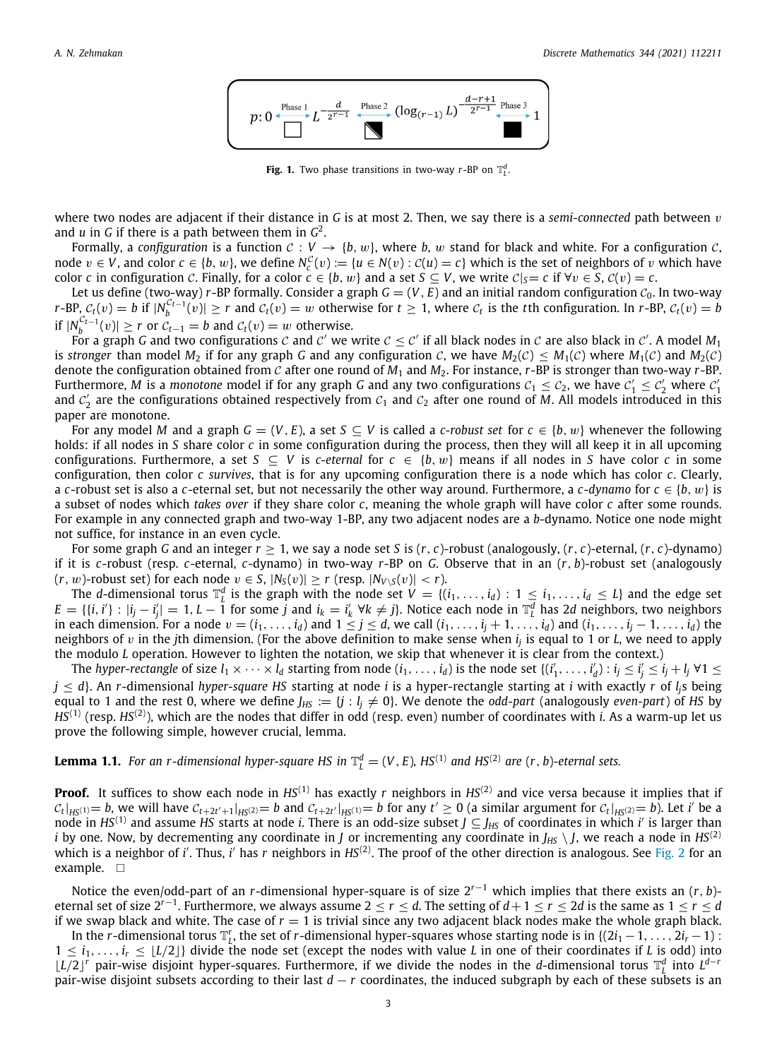

**Fig. 1.** Two phase transitions in two-way *r*-BP on  $\mathbb{T}^d$ .

<span id="page-3-0"></span>where two nodes are adjacent if their distance in *G* is at most 2. Then, we say there is a *semi-connected* path between v and *u* in *G* if there is a path between them in *G* 2 .

Formally, a *configuration* is a function  $C: V \to \{b, w\}$ , where *b*, w stand for black and white. For a configuration C, node  $v \in V$ , and color  $c \in \{b, w\}$ , we define  $N_c^C(v) := \{u \in N(v) : C(u) = c\}$  which is the set of neighbors of v which have color *c* in configuration C. Finally, for a color  $c \in \{b, w\}$  and a set  $S \subset V$ , we write  $C|_{S} = c$  if  $\forall v \in S$ ,  $C(v) = c$ .

Let us define (two-way) *r*-BP formally. Consider a graph  $G = (V, E)$  and an initial random configuration  $C_0$ . In two-way  $r$ -BP,  $C_t(v) = b$  if  $|N_b^{C_{t-1}}(v)| \ge r$  and  $C_t(v) = w$  otherwise for  $t \ge 1$ , where  $C_t$  is the *t*th configuration. In  $r$ -BP,  $C_t(v) = b$ if  $|N_b^{\mathcal{C}_{t-1}}(v)|$  ≥ *r* or  $\mathcal{C}_{t-1}$  = *b* and  $\mathcal{C}_t(v)$  = *w* otherwise.

For a graph G and two configurations  $c$  and  $c'$  we write  $c\leq c'$  if all black nodes in  $c$  are also black in  $c'$ . A model  $M_1$ is *stronger* than model  $M_2$  if for any graph G and any configuration C, we have  $M_2(\mathcal{C}) \leq M_1(\mathcal{C})$  where  $M_1(\mathcal{C})$  and  $M_2(\mathcal{C})$ denote the configuration obtained from C after one round of *M*<sup>1</sup> and *M*2. For instance, *r*-BP is stronger than two-way *r*-BP. Furthermore, *M* is a *monotone* model if for any graph *G* and any two configurations  $c_1 \le c_2$ , we have  $c'_1 \le c'_2$  where  $c'_1$ and  $c'_2$  are the configurations obtained respectively from  $c_1$  and  $c_2$  after one round of M. All models introduced in this paper are monotone.

For any model *M* and a graph  $G = (V, E)$ , a set  $S \subseteq V$  is called a *c*-robust set for  $c \in \{b, w\}$  whenever the following holds: if all nodes in *S* share color *c* in some configuration during the process, then they will all keep it in all upcoming configurations. Furthermore, a set  $S \subseteq V$  is *c*-eternal for  $c \in \{b, w\}$  means if all nodes in *S* have color *c* in some configuration, then color *c survives*, that is for any upcoming configuration there is a node which has color *c*. Clearly, a *c*-robust set is also a *c*-eternal set, but not necessarily the other way around. Furthermore, a *c*-*dynamo* for *c* ∈ {*b*, w} is a subset of nodes which *takes over* if they share color *c*, meaning the whole graph will have color *c* after some rounds. For example in any connected graph and two-way 1-BP, any two adjacent nodes are a *b*-dynamo. Notice one node might not suffice, for instance in an even cycle.

For some graph *G* and an integer  $r \geq 1$ , we say a node set *S* is  $(r, c)$ -robust (analogously,  $(r, c)$ -eternal,  $(r, c)$ -dynamo) if it is *c*-robust (resp. *c*-eternal, *c*-dynamo) in two-way *r*-BP on *G*. Observe that in an (*r*, *b*)-robust set (analogously  $(r, w)$ -robust set) for each node  $v \in S$ ,  $|N_S(v)| \ge r$  (resp.  $|N_{V \setminus S}(v)| < r$ ).

The *d*-dimensional torus  $\mathbb{T}_L^d$  is the graph with the node set  $V = \{(i_1, \ldots, i_d) : 1 \leq i_1, \ldots, i_d \leq L\}$  and the edge set  $E = \{(i, i') : |i_j - i'_j| = 1, L - 1 \text{ for some } j \text{ and } i_k = i'_k \ \forall k \neq j\}.$  Notice each node in  $\mathbb{T}_L^d$  has 2d neighbors, two neighbors in each dimension. For a node  $v = (i_1, \ldots, i_d)$  and  $1 \leq j \leq d$ , we call  $(i_1, \ldots, i_j + 1, \ldots, i_d)$  and  $(i_1, \ldots, i_j - 1, \ldots, i_d)$  the neighbors of v in the *j*th dimension. (For the above definition to make sense when *i<sup>j</sup>* is equal to 1 or *L*, we need to apply the modulo *L* operation. However to lighten the notation, we skip that whenever it is clear from the context.)

The *hyper-rectangle* of size  $l_1 \times \cdots \times l_d$  starting from node  $(i_1,\ldots,i_d)$  is the node set  $\{(i'_1,\ldots,i'_d): i_j \leq i'_j \leq i_j+l_j \; \forall 1 \leq j'_j \leq j'_j \leq j'_j \}$ *j* ≤ *d*}. An *r*-dimensional *hyper-square HS* starting at node *i* is a hyper-rectangle starting at *i* with exactly *r* of *lj*s being equal to 1 and the rest 0, where we define  $J_{HS} := \{j : l_j \neq 0\}$ . We denote the *odd-part* (analogously *even-part*) of *HS* by *HS*(1) (resp. *HS*(2)), which are the nodes that differ in odd (resp. even) number of coordinates with *i*. As a warm-up let us prove the following simple, however crucial, lemma.

# <span id="page-3-1"></span>**Lemma 1.1.** For an r-dimensional hyper-square HS in  $\mathbb{T}_L^d = (V, E)$ , HS<sup>(1)</sup> and HS<sup>(2)</sup> are (r, b)-eternal sets.

**Proof.** It suffices to show each node in  $HS^{(1)}$  has exactly *r* neighbors in  $HS^{(2)}$  and vice versa because it implies that if  $c_t|_{HS^{(1)}}=b$ , we will have  $c_{t+2t'+1}|_{HS^{(2)}}=b$  and  $c_{t+2t'}|_{HS^{(1)}}=b$  for any  $t'\geq 0$  (a similar argument for  $c_t|_{HS^{(2)}}=b$ ). Let i' be a node in  $HS^{(1)}$  and assume *HS* starts at node *i*. There is an odd-size subset  $J \subseteq J_{HS}$  of coordinates in which *i'* is larger than *i* by one. Now, by decrementing any coordinate in *J* or incrementing any coordinate in  $J_{HS} \setminus J$ , we reach a node in *HS*<sup>(2)</sup> which is a neighbor of *i'*. Thus, *i'* has *r* neighbors in *HS*<sup>(2)</sup>. The proof of the other direction is analogous. See [Fig.](#page-4-1) [2](#page-4-1) for an example. □

Notice the even/odd-part of an *r*-dimensional hyper-square is of size 2*<sup>r</sup>*−<sup>1</sup> which implies that there exists an (*r*, *b*) eternal set of size 2*<sup>r</sup>*−<sup>1</sup> . Furthermore, we always assume 2 ≤ *r* ≤ *d*. The setting of *d*+1 ≤ *r* ≤ 2*d* is the same as 1 ≤ *r* ≤ *d* if we swap black and white. The case of  $r = 1$  is trivial since any two adjacent black nodes make the whole graph black.

In the *r*-dimensional torus  $\mathbb{T}_L^r$ , the set of *r*-dimensional hyper-squares whose starting node is in {(2*i*<sub>1</sub> − 1, . . . , 2*i*<sub>*r*</sub> − 1) :  $1 \leq i_1, \ldots, i_r \leq \lfloor L/2 \rfloor$  divide the node set (except the nodes with value *L* in one of their coordinates if *L* is odd) into *L*<sup>*I*</sup> *p* air-wise disjoint hyper-squares. Furthermore, if we divide the nodes in the *d*-dimensional torus  $\mathbb{T}^d$  into *L<sup>d−<i>r*</sup></sub> pair-wise disjoint subsets according to their last *d* − *r* coordinates, the induced subgraph by each of these subsets is an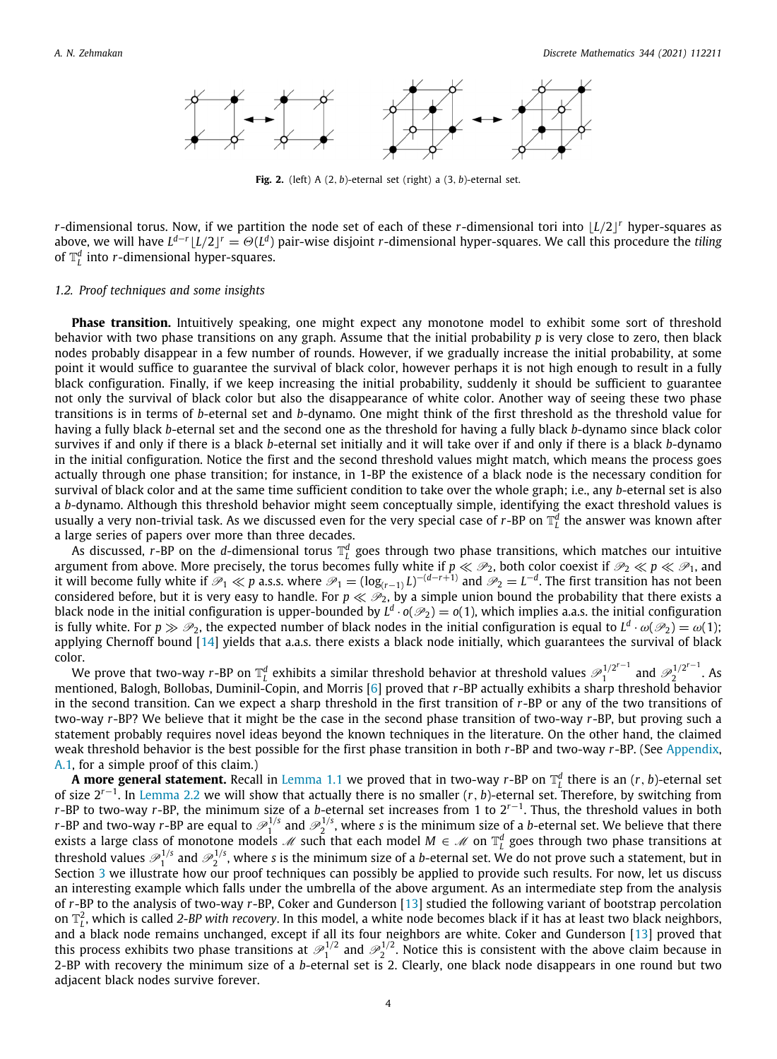

**Fig. 2.** (left) A (2, *b*)-eternal set (right) a (3, *b*)-eternal set.

<span id="page-4-1"></span>*r*-dimensional torus. Now, if we partition the node set of each of these *r*-dimensional tori into ⌊*L*/2⌋ *<sup>r</sup>* hyper-squares as above, we will have  $L^{d-r}\lfloor L/2\rfloor^r=\Theta(L^d)$  pair-wise disjoint *r*-dimensional hyper-squares. We call this procedure the *tiling* of  $\mathbb{T}_L^d$  into *r*-dimensional hyper-squares.

# *1.2. Proof techniques and some insights*

<span id="page-4-0"></span>**Phase transition.** Intuitively speaking, one might expect any monotone model to exhibit some sort of threshold behavior with two phase transitions on any graph. Assume that the initial probability *p* is very close to zero, then black nodes probably disappear in a few number of rounds. However, if we gradually increase the initial probability, at some point it would suffice to guarantee the survival of black color, however perhaps it is not high enough to result in a fully black configuration. Finally, if we keep increasing the initial probability, suddenly it should be sufficient to guarantee not only the survival of black color but also the disappearance of white color. Another way of seeing these two phase transitions is in terms of *b*-eternal set and *b*-dynamo. One might think of the first threshold as the threshold value for having a fully black *b*-eternal set and the second one as the threshold for having a fully black *b*-dynamo since black color survives if and only if there is a black *b*-eternal set initially and it will take over if and only if there is a black *b*-dynamo in the initial configuration. Notice the first and the second threshold values might match, which means the process goes actually through one phase transition; for instance, in 1-BP the existence of a black node is the necessary condition for survival of black color and at the same time sufficient condition to take over the whole graph; i.e., any *b*-eternal set is also a *b*-dynamo. Although this threshold behavior might seem conceptually simple, identifying the exact threshold values is usually a very non-trivial task. As we discussed even for the very special case of *r*-BP on  $\mathbb{T}_L^d$  the answer was known after a large series of papers over more than three decades.

As discussed, *r*-BP on the *d*-dimensional torus  $\mathbb{T}_l^d$  goes through two phase transitions, which matches our intuitive argument from above. More precisely, the torus becomes fully white if  $p \ll P_2$ , both color coexist if  $P_2 \ll p \ll P_1$ , and it will become fully white if  $\mathscr{P}_1\ll p$  a.s.s. where  $\mathscr{P}_1=(\log_{(r-1)}L)^{-(d-r+1)}$  and  $\mathscr{P}_2=L^{-d}.$  The first transition has not been considered before, but it is very easy to handle. For  $p \ll \mathcal{P}_2$ , by a simple union bound the probability that there exists a black node in the initial configuration is upper-bounded by  $L^d\cdot o(\mathscr{P}_2)=o(1)$ , which implies a.a.s. the initial configuration is fully white. For  $p\gg\mathscr{P}_2$ , the expected number of black nodes in the initial configuration is equal to  $L^d\cdot\omega(\mathscr{P}_2)=\omega(1)$ ; applying Chernoff bound [[14](#page-13-19)] yields that a.a.s. there exists a black node initially, which guarantees the survival of black color.

 $\overline{\mathsf{a}}$ :<br>We prove that two-way *r*-BP on  $\mathbb{T}_L^d$  exhibits a similar threshold behavior at threshold values  $\overline{\mathscr{P}}_1^{1/2^{r-1}}$  $\mathcal{P}_1^{1/2^{r-1}}$  and  $\mathcal{P}_2^{1/2^{r-1}}$  $2^{1/2}$  . As mentioned, Balogh, Bollobas, Duminil-Copin, and Morris [[6\]](#page-13-5) proved that *r*-BP actually exhibits a sharp threshold behavior in the second transition. Can we expect a sharp threshold in the first transition of *r*-BP or any of the two transitions of two-way *r*-BP? We believe that it might be the case in the second phase transition of two-way *r*-BP, but proving such a statement probably requires novel ideas beyond the known techniques in the literature. On the other hand, the claimed weak threshold behavior is the best possible for the first phase transition in both *r*-BP and two-way *r*-BP. (See [Appendix,](#page-9-0) [A.1,](#page-9-1) for a simple proof of this claim.)

**A more general statement.** Recall in [Lemma](#page-3-1) [1.1](#page-3-1) we proved that in two-way  $r$ -BP on  $\mathbb{T}_L^d$  there is an  $(r,b)$ -eternal set of size 2*<sup>r</sup>*−<sup>1</sup> . In [Lemma](#page-5-1) [2.2](#page-5-1) we will show that actually there is no smaller (*r*, *b*)-eternal set. Therefore, by switching from *r*-BP to two-way *r*-BP, the minimum size of a *b*-eternal set increases from 1 to 2*<sup>r</sup>*−<sup>1</sup> . Thus, the threshold values in both *r*-BP and two-way *r*-BP are equal to  $\mathscr{P}_1^{1/s}$  and  $\mathscr{P}_2^{1/s}$ , where *s* is the minimum size of a *b*-eternal set. We believe that there exists a large class of monotone models  $\mathscr M$  such that each model  $M\in\mathscr M$  on  $\mathbb T^d_L$  goes through two phase transitions at threshold values  $\mathscr{P}_1^{1/s}$  and  $\mathscr{P}_2^{1/s}$ , where s is the minimum size of a *b*-eternal set. We do not prove such a statement, but in Section [3](#page-8-0) we illustrate how our proof techniques can possibly be applied to provide such results. For now, let us discuss an interesting example which falls under the umbrella of the above argument. As an intermediate step from the analysis of *r*-BP to the analysis of two-way *r*-BP, Coker and Gunderson [[13](#page-13-20)] studied the following variant of bootstrap percolation on  $\mathbb{T}_l^2$ , which is called 2-BP with recovery. In this model, a white node becomes black if it has at least two black neighbors, and a black node remains unchanged, except if all its four neighbors are white. Coker and Gunderson [[13](#page-13-20)] proved that this process exhibits two phase transitions at  $\mathcal{P}_1^{1/2}$  and  $\mathcal{P}_2^{1/2}$ . Notice this is consistent with the above claim because in 2-BP with recovery the minimum size of a *b*-eternal set is 2. Clearly, one black node disappears in one round but two adjacent black nodes survive forever.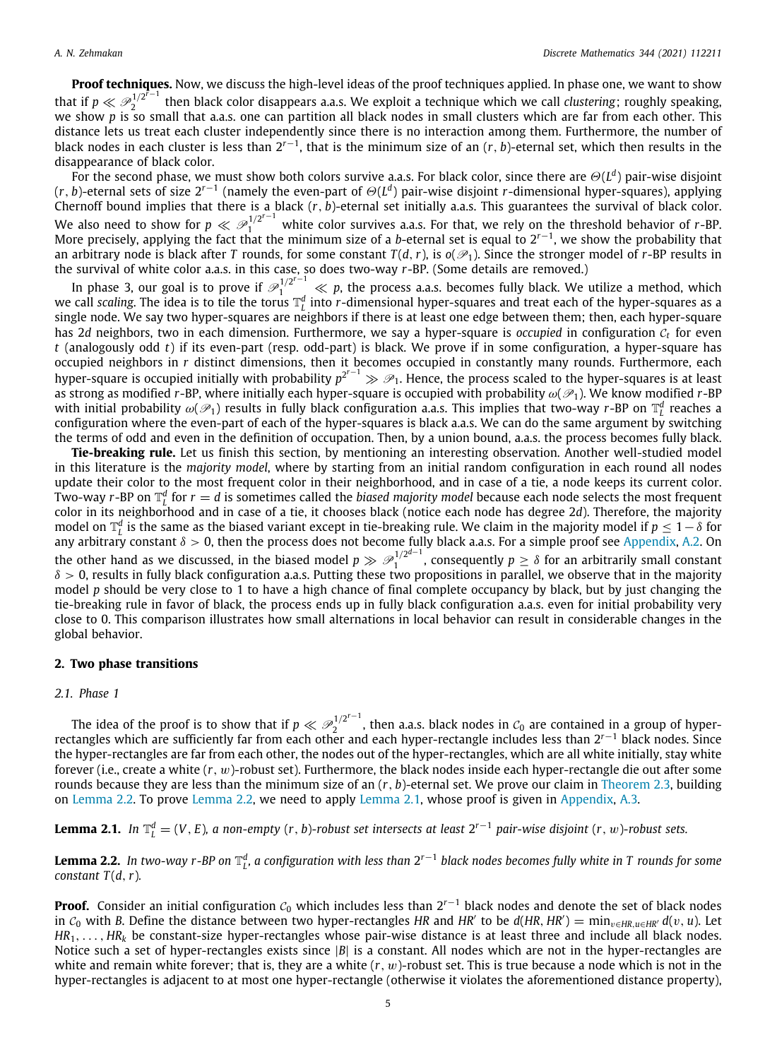**Proof techniques.** Now, we discuss the high-level ideas of the proof techniques applied. In phase one, we want to show that if  $p \ll \mathscr{P}_{2}^{1/2^{\tilde{r}-1}}$ 2 then black color disappears a.a.s. We exploit a technique which we call *clustering*; roughly speaking, we show *p* is so small that a.a.s. one can partition all black nodes in small clusters which are far from each other. This distance lets us treat each cluster independently since there is no interaction among them. Furthermore, the number of black nodes in each cluster is less than 2*<sup>r</sup>*−<sup>1</sup> , that is the minimum size of an (*r*, *b*)-eternal set, which then results in the disappearance of black color.

For the second phase, we must show both colors survive a.a.s. For black color, since there are Θ(*L d* ) pair-wise disjoint (*r*, *b*)-eternal sets of size 2*<sup>r</sup>*−<sup>1</sup> (namely the even-part of Θ(*L d* ) pair-wise disjoint *r*-dimensional hyper-squares), applying Chernoff bound implies that there is a black (*r*, *b*)-eternal set initially a.a.s. This guarantees the survival of black color. We also need to show for  $p \ll \mathcal{P}_1^{1/2^{r-1}}$  white color survives a.a.s. For that, we rely on the threshold behavior of r-BP.<br>More precisely, applying the fact that the minimum size of a b-eternal set is equal to 2<sup>r-1</sup> an arbitrary node is black after *T* rounds, for some constant  $T(d, r)$ , is  $o(\mathcal{P}_1)$ . Since the stronger model of *r*-BP results in the survival of white color a.a.s. in this case, so does two-way *r*-BP. (Some details are removed.)

In phase 3, our goal is to prove if  $\mathscr{P}_1^{1/2^{r-1}} \ll p$ , the process a.a.s. becomes fully black. We utilize a method, which we call *scaling.* The idea is to tile the torus  $\mathbb{T}_L^d$  into *r*-dimensional hyper-squares and treat each of the hyper-squares as a single node. We say two hyper-squares are neighbors if there is at least one edge between them; then, each hyper-square has 2*d* neighbors, two in each dimension. Furthermore, we say a hyper-square is *occupied* in configuration C*<sup>t</sup>* for even *t* (analogously odd *t*) if its even-part (resp. odd-part) is black. We prove if in some configuration, a hyper-square has occupied neighbors in *r* distinct dimensions, then it becomes occupied in constantly many rounds. Furthermore, each hyper-square is occupied initially with probability  $p^{2^{r-1}}$  ≫  $\mathscr{P}_1$ . Hence, the process scaled to the hyper-squares is at least as strong as modified *r*-BP, where initially each hyper-square is occupied with probability  $\omega(\mathscr{P}_1)$ . We know modified *r*-BP with initial probability  $\omega(\mathscr{P}_1)$  results in fully black configuration a.a.s. This implies that two-way  $r$ -BP on  $\mathbb{T}_L^d$  reaches a configuration where the even-part of each of the hyper-squares is black a.a.s. We can do the same argument by switching the terms of odd and even in the definition of occupation. Then, by a union bound, a.a.s. the process becomes fully black.

**Tie-breaking rule.** Let us finish this section, by mentioning an interesting observation. Another well-studied model in this literature is the *majority model*, where by starting from an initial random configuration in each round all nodes update their color to the most frequent color in their neighborhood, and in case of a tie, a node keeps its current color. Two-way *r*-BP on  $\mathbb{T}_f^d$  for  $r=d$  is sometimes called the *biased majority model* because each node selects the most frequent *L* and the sected in the set of a tie, it chooses black (notice each node has degree 2*d*). Therefore, the majority color in its neighborhood and in case of a tie, it chooses black (notice each node has degree 2*d*). Ther model on  $\mathbb{T}_l^d$  is the same as the biased variant except in tie-breaking rule. We claim in the majority model if  $p\leq 1-\delta$  for *L* any arbitrary constant  $\delta > 0$ , then the process does not become fully black a.a.s. For a simple proof see [Appendix,](#page-9-0) [A.2.](#page-10-0) On the other hand as we discussed, in the biased model  $p \gg \mathcal{P}_1^{1/2^{d-1}}$  $\int_1^{1/2^{\alpha-1}}$ , consequently  $p \geq \delta$  for an arbitrarily small constant  $\delta > 0$ , results in fully black configuration a.a.s. Putting these two propositions in parallel, we observe that in the majority model *p* should be very close to 1 to have a high chance of final complete occupancy by black, but by just changing the tie-breaking rule in favor of black, the process ends up in fully black configuration a.a.s. even for initial probability very close to 0. This comparison illustrates how small alternations in local behavior can result in considerable changes in the global behavior.

# **2. Two phase transitions**

# <span id="page-5-0"></span>*2.1. Phase 1*

The idea of the proof is to show that if  $p \ll \mathscr{P}^{1/2^{r-1}}_2$ The idea of the proof is to show that if  $p \ll \mathcal{P}_2^{1/2}$ , then a.a.s. black nodes in  $\mathcal{C}_0$  are contained in a group of hyper-rectangles which are sufficiently far from each other and each hyper-rectangle includes l the hyper-rectangles are far from each other, the nodes out of the hyper-rectangles, which are all white initially, stay white forever (i.e., create a white (*r*, w)-robust set). Furthermore, the black nodes inside each hyper-rectangle die out after some rounds because they are less than the minimum size of an (*r*, *b*)-eternal set. We prove our claim in [Theorem](#page-6-0) [2.3,](#page-6-0) building on [Lemma](#page-5-1) [2.2](#page-5-1). To prove [Lemma](#page-5-1) [2.2](#page-5-1), we need to apply [Lemma](#page-5-2) [2.1,](#page-5-2) whose proof is given in [Appendix,](#page-9-0) [A.3.](#page-10-1)

<span id="page-5-2"></span>**Lemma 2.1.** In  $\mathbb{T}_L^d=(V,E)$ , a non-empty (r, b)-robust set intersects at least  $2^{r-1}$  pair-wise disjoint (r, w)-robust sets.

<span id="page-5-1"></span>**Lemma 2.2.** In two-way r-BP on  $\mathbb{T}_L^d$ , a configuration with less than 2<sup>r−1</sup> black nodes becomes fully white in T rounds for some *constant*  $T(d, r)$ *.* 

**Proof.** Consider an initial configuration  $\mathcal{C}_0$  which includes less than 2<sup>r−1</sup> black nodes and denote the set of black nodes in  $C_0$  with *B*. Define the distance between two hyper-rectangles HR and HR' to be  $d(HR, HR') = \min_{v \in HR, u \in HR'} d(v, u)$ . Let  $HR_1, \ldots, HR_k$  be constant-size hyper-rectangles whose pair-wise distance is at least three and include all black nodes. Notice such a set of hyper-rectangles exists since |*B*| is a constant. All nodes which are not in the hyper-rectangles are white and remain white forever; that is, they are a white (*r*, w)-robust set. This is true because a node which is not in the hyper-rectangles is adjacent to at most one hyper-rectangle (otherwise it violates the aforementioned distance property),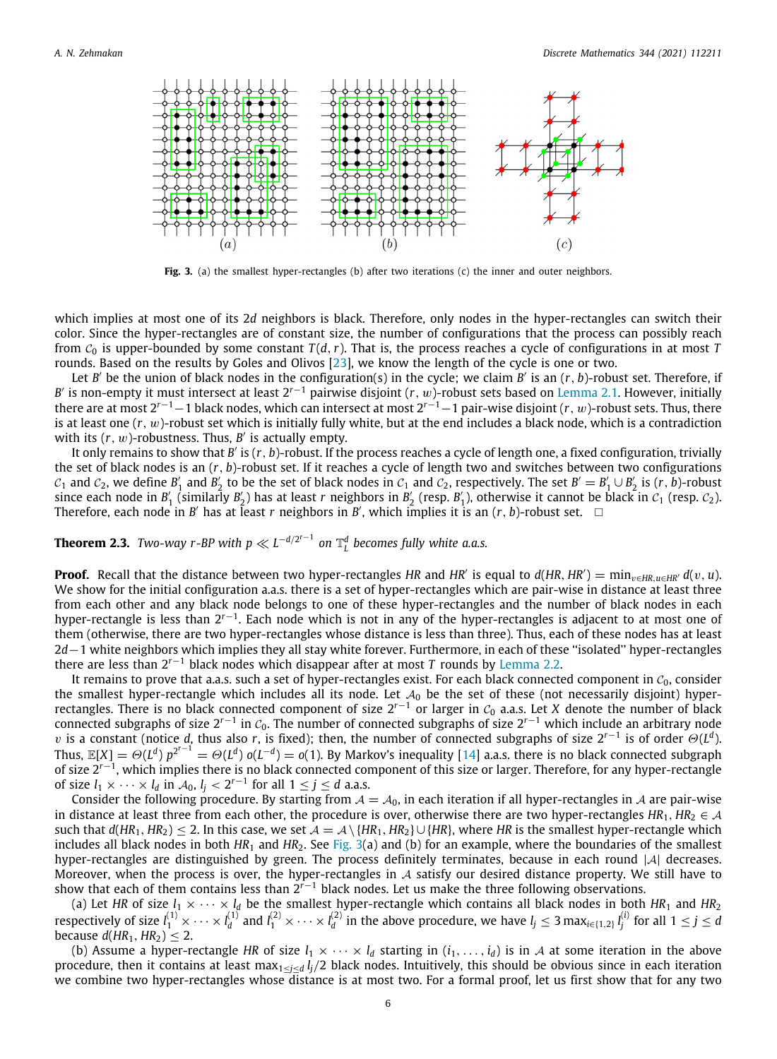

**Fig. 3.** (a) the smallest hyper-rectangles (b) after two iterations (c) the inner and outer neighbors.

<span id="page-6-1"></span>which implies at most one of its 2*d* neighbors is black. Therefore, only nodes in the hyper-rectangles can switch their color. Since the hyper-rectangles are of constant size, the number of configurations that the process can possibly reach from  $C_0$  is upper-bounded by some constant  $T(d, r)$ . That is, the process reaches a cycle of configurations in at most T rounds. Based on the results by Goles and Olivos [[23](#page-13-6)], we know the length of the cycle is one or two.

Let *B* ′ be the union of black nodes in the configuration(s) in the cycle; we claim *B* ′ is an (*r*, *b*)-robust set. Therefore, if *B* ′ is non-empty it must intersect at least 2*<sup>r</sup>*−<sup>1</sup> pairwise disjoint (*r*, w)-robust sets based on [Lemma](#page-5-2) [2.1](#page-5-2). However, initially there are at most 2*<sup>r</sup>*−1−1 black nodes, which can intersect at most 2*<sup>r</sup>*−1−1 pair-wise disjoint (*r*, w)-robust sets. Thus, there is at least one (*r*, w)-robust set which is initially fully white, but at the end includes a black node, which is a contradiction with its  $(r, w)$ -robustness. Thus,  $B'$  is actually empty.

It only remains to show that *B'* is (r, *b*)-robust. If the process reaches a cycle of length one, a fixed configuration, trivially the set of black nodes is an (*r*, *b*)-robust set. If it reaches a cycle of length two and switches between two configurations  $c_1$  and  $c_2$ , we define  $B'_1$  and  $B'_2$  to be the set of black nodes in  $c_1$  and  $c_2$ , respectively. The set  $B'=B'_1\cup B'_2$  is  $(r, b)$ -robust since each node in  $B'_1$  (similarly  $B'_2$ ) has at least *r* neighbors in  $B'_2$  (resp.  $B'_1$ ), otherwise it cannot be black in  $C_1$  (resp.  $C_2$ ). Therefore, each node in *B'* has at least *r* neighbors in *B'*, which implies it is an  $(r, b)$ -robust set.  $\Box$ 

<span id="page-6-0"></span>**Theorem 2.3.** *Two-way r-BP with p*  $\ll L^{-d/2^{r-1}}$  on  $\mathbb{T}_L^d$  becomes fully white a.a.s.

**Proof.** Recall that the distance between two hyper-rectangles HR and HR' is equal to  $d(HR, HR') = min_{v \in HR, u \in HR'} d(v, u)$ . We show for the initial configuration a.a.s. there is a set of hyper-rectangles which are pair-wise in distance at least three from each other and any black node belongs to one of these hyper-rectangles and the number of black nodes in each hyper-rectangle is less than 2*<sup>r</sup>*−<sup>1</sup> . Each node which is not in any of the hyper-rectangles is adjacent to at most one of them (otherwise, there are two hyper-rectangles whose distance is less than three). Thus, each of these nodes has at least 2*d*−1 white neighbors which implies they all stay white forever. Furthermore, in each of these ''isolated'' hyper-rectangles there are less than 2*<sup>r</sup>*−<sup>1</sup> black nodes which disappear after at most *T* rounds by [Lemma](#page-5-1) [2.2.](#page-5-1)

It remains to prove that a.a.s. such a set of hyper-rectangles exist. For each black connected component in  $C_0$ , consider the smallest hyper-rectangle which includes all its node. Let  $A_0$  be the set of these (not necessarily disjoint) hyperrectangles. There is no black connected component of size 2*<sup>r</sup>*−<sup>1</sup> or larger in <sup>C</sup><sup>0</sup> a.a.s. Let *X* denote the number of black connected subgraphs of size 2*<sup>r</sup>*−<sup>1</sup> in <sup>C</sup>0. The number of connected subgraphs of size 2*<sup>r</sup>*−<sup>1</sup> which include an arbitrary node v is a constant (notice *d*, thus also *r*, is fixed); then, the number of connected subgraphs of size 2*<sup>r</sup>*−<sup>1</sup> is of order Θ(*L d* ). Thus,  $\mathbb{E}[X] = \Theta(L^d) p^{2^{r-1}} = \Theta(L^d) o(L^{-d}) = o(1)$ . By Markov's inequality [[14\]](#page-13-19) a.a.s. there is no black connected subgraph of size 2*<sup>r</sup>*−<sup>1</sup> , which implies there is no black connected component of this size or larger. Therefore, for any hyper-rectangle of size  $l_1 \times \cdots \times l_d$  in  $\mathcal{A}_0$ ,  $l_j < 2^{r-1}$  for all  $1 \leq j \leq d$  a.a.s.

Consider the following procedure. By starting from  $A = A_0$ , in each iteration if all hyper-rectangles in A are pair-wise in distance at least three from each other, the procedure is over, otherwise there are two hyper-rectangles  $HR_1, HR_2 \in \mathcal{A}$ such that  $d(HR_1, HR_2) \le 2$ . In this case, we set  $A = A \setminus \{HR_1, HR_2\} \cup \{HR\}$ , where *HR* is the smallest hyper-rectangle which includes all black nodes in both  $HR_1$  and  $HR_2$ . See [Fig.](#page-6-1) [3](#page-6-1)(a) and (b) for an example, where the boundaries of the smallest hyper-rectangles are distinguished by green. The process definitely terminates, because in each round |A| decreases. Moreover, when the process is over, the hyper-rectangles in  $A$  satisfy our desired distance property. We still have to show that each of them contains less than 2*<sup>r</sup>*−<sup>1</sup> black nodes. Let us make the three following observations.

(a) Let HR of size  $l_1 \times \cdots \times l_d$  be the smallest hyper-rectangle which contains all black nodes in both HR<sub>1</sub> and HR<sub>2</sub> respectively of size  $l_1^{(1)}\times\cdots\times l_d^{(1)}$  and  $l_1^{(2)}\times\cdots\times l_d^{(2)}$  in the above procedure, we have  $l_j\leq 3$  max $_{i\in\{1,2\}}l_j^{(i)}$  for all  $1\leq j\leq d$ because  $d(HR_1, HR_2) \leq 2$ .

(b) Assume a hyper-rectangle HR of size  $l_1 \times \cdots \times l_d$  starting in  $(i_1, \ldots, i_d)$  is in A at some iteration in the above procedure, then it contains at least max<sub>1<*i*<*d*  $l_i/2$  black nodes. Intuitively, this should be obvious since in each iteration</sub> we combine two hyper-rectangles whose distance is at most two. For a formal proof, let us first show that for any two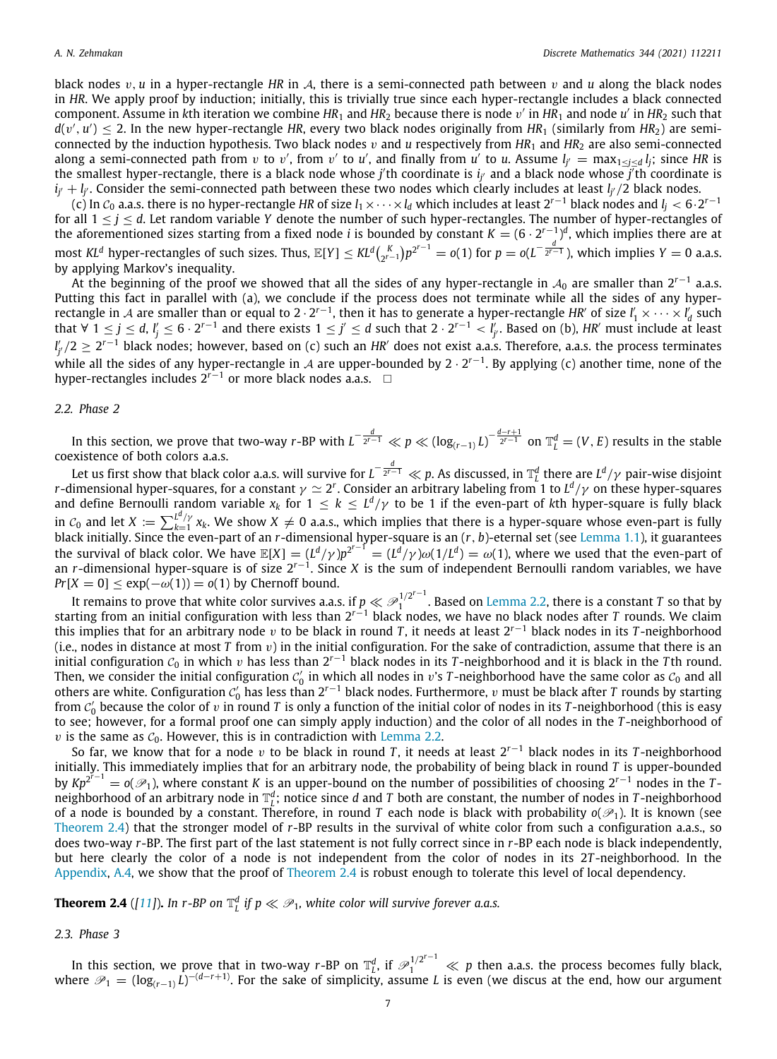black nodes  $v, u$  in a hyper-rectangle HR in A, there is a semi-connected path between  $v$  and  $u$  along the black nodes in *HR*. We apply proof by induction; initially, this is trivially true since each hyper-rectangle includes a black connected component. Assume in kth iteration we combine HR<sub>1</sub> and HR<sub>2</sub> because there is node  $v'$  in HR<sub>1</sub> and node  $u'$  in HR<sub>2</sub> such that  $d(v',u')\leq 2.$  In the new hyper-rectangle HR, every two black nodes originally from HR<sub>1</sub> (similarly from HR<sub>2</sub>) are semiconnected by the induction hypothesis. Two black nodes  $v$  and  $u$  respectively from  $HR_1$  and  $HR_2$  are also semi-connected along a semi-connected path from *v* to *v'*, from *v'* to *u'*, and finally from *u'* to *u*. Assume  $l_{j'} = \max_{1 \leq j \leq d} l_j$ ; since HR is the smallest hyper-rectangle, there is a black node whose *j'* th coordinate is i<sub>j'</sub> and a black node whose j<sup>'</sup>th coordinate is *ij* ′ + *l<sup>j</sup>* ′ . Consider the semi-connected path between these two nodes which clearly includes at least *l<sup>j</sup>* ′/2 black nodes.

(c) In <sup>C</sup><sup>0</sup> a.a.s. there is no hyper-rectangle *HR* of size *l*1×· · ·×*l<sup>d</sup>* which includes at least 2*<sup>r</sup>*−<sup>1</sup> black nodes and *l<sup>j</sup>* < 6·2 *r*−1 for all  $1 \le j \le d$ . Let random variable *Y* denote the number of such hyper-rectangles. The number of hyper-rectangles of the aforementioned sizes starting from a fixed node *i* is bounded by constant  $K = (6 \cdot 2^{r-1})^d$ , which implies there are at most KL<sup>d</sup> hyper-rectangles of such sizes. Thus,  $\mathbb{E}[Y] \leq K L^d {K \choose 2^{r-1}} p^{2^{r-1}} = o(1)$  for  $p = o(L^{-\frac{d}{2^{r-1}}})$ , which implies  $Y = 0$  a.a.s. by applying Markov's inequality.

At the beginning of the proof we showed that all the sides of any hyper-rectangle in A<sub>0</sub> are smaller than 2<sup>r−1</sup> a.a.s. Putting this fact in parallel with (a), we conclude if the process does not terminate while all the sides of any hyperrectangle in A are smaller than or equal to 2  $\cdot$  2<sup>r−1</sup>, then it has to generate a hyper-rectangle *HR′* of size  $l'_1\times\cdots\times l'_d$  such that  $\forall$  1  $\leq$  *j*  $\leq$  *d*, *l<sub>j</sub>*  $\leq$  6 · 2<sup>*r*−1</sup> and there exists 1  $\leq$  *j*′  $\leq$  *d* such that 2 · 2<sup>*r*−1</sup> < *l<sub>j'</sub>*. Based on (b), *HR'* must include at least *l'<sub>j'</sub>* /2 ≥ 2<sup>r−1</sup> black nodes; however, based on (c) such an *HR′* does not exist a.a.s. Therefore, a.a.s. the process terminates while all the sides of any hyper-rectangle in A are upper-bounded by 2 · 2 *r*−1 . By applying (c) another time, none of the hyper-rectangles includes 2<sup>*r*−1</sup> or more black nodes a.a.s. □

#### *2.2. Phase 2*

<span id="page-7-1"></span>In this section, we prove that two-way r-BP with  $L^{-\frac{d}{2^{r-1}}}\ll p\ll (\log_{(r-1)} L)^{-\frac{d-r+1}{2^{r-1}}}$  on  $\mathbb{T}_L^d=(V,E)$  results in the stable coexistence of both colors a.a.s.

Let us first show that black color a.a.s. will survive for *L* − *d* 2 *<sup>r</sup>*−<sup>1</sup> ≪ *p*. As discussed, in T *d* there are *L d* /γ pair-wise disjoint *r*-dimensional hyper-squares, for a constant  $\gamma \simeq 2^r$ . Consider an arbitrary labeling from 1 to *L*<sup>d</sup>/ $\gamma$  on these hyper-squares and define Bernoulli random variable  $x_k$  for  $1\le k\le L^d/\gamma$  to be 1 if the even-part of  $k$ th hyper-square is fully black in  $c_0$  and let  $X := \sum_{k=1}^{L^d/\gamma} x_k$ . We show  $X \neq 0$  a.a.s., which implies that there is a hyper-square whose even-part is fully black initially. Since the even-part of an *r*-dimensional hyper-square is an (*r*, *b*)-eternal set (see [Lemma](#page-3-1) [1.1\)](#page-3-1), it guarantees the survival of black color. We have  $\mathbb{E}[X] = (L^d/\gamma)p^{2^{r-1}} = (L^d/\gamma)\omega(1/L^d) = \omega(1)$ , where we used that the even-part of an *r*-dimensional hyper-square is of size 2*<sup>r</sup>*−<sup>1</sup> . Since *X* is the sum of independent Bernoulli random variables, we have  $Pr[X = 0] \leq exp(-\omega(1)) = o(1)$  by Chernoff bound.

It remains to prove that white color survives a.a.s. if  $p \ll \mathcal{P}_1^{1/2^{r-1}}$ It remains to prove that white color survives a.a.s. if  $p \ll P_1^{1/2}$  . Based on [Lemma](#page-5-1) [2.2](#page-5-1), there is a constant *T* so that by<br>starting from an initial configuration with less than 2<sup>r−1</sup> black nodes, we have no black nod this implies that for an arbitrary node v to be black in round *T* , it needs at least 2*<sup>r</sup>*−<sup>1</sup> black nodes in its *T* -neighborhood (i.e., nodes in distance at most  $T$  from  $v$ ) in the initial configuration. For the sake of contradiction, assume that there is an initial configuration <sup>C</sup><sup>0</sup> in which v has less than 2*<sup>r</sup>*−<sup>1</sup> black nodes in its *T* -neighborhood and it is black in the *T* th round. Then, we consider the initial configuration  $c_0'$  in which all nodes in  $v$ 's  $T$ -neighborhood have the same color as  $c_0$  and all others are white. Configuration  $c'_0$  has less than 2<sup>r−1</sup> black nodes. Furthermore,  $v$  must be black after  $T$  rounds by starting from  $c'_0$  because the color of v in round *T* is only a function of the initial color of nodes in its *T*-neighborhood (this is easy to see; however, for a formal proof one can simply apply induction) and the color of all nodes in the *T* -neighborhood of  $v$  is the same as  $C_0$ . However, this is in contradiction with [Lemma](#page-5-1) [2.2](#page-5-1).

So far, we know that for a node v to be black in round *T* , it needs at least 2*<sup>r</sup>*−<sup>1</sup> black nodes in its *T* -neighborhood initially. This immediately implies that for an arbitrary node, the probability of being black in round *T* is upper-bounded by  $Kp^{2^{r-1}} = o(\mathcal{P}_1)$ , where constant *K* is an upper-bound on the number of possibilities of choosing 2<sup>r-1</sup> nodes in the *T*neighborhood of an arbitrary node in  $\mathbb{T}_L^d$ ; notice since  $d$  and  $T$  both are constant, the number of nodes in  $T$ -neighborhood of a node is bounded by a constant. Therefore, in round *T* each node is black with probability  $o(\mathcal{P}_1)$ . It is known (see [Theorem](#page-7-0) [2.4](#page-7-0)) that the stronger model of *r*-BP results in the survival of white color from such a configuration a.a.s., so does two-way *r*-BP. The first part of the last statement is not fully correct since in *r*-BP each node is black independently, but here clearly the color of a node is not independent from the color of nodes in its 2*T* -neighborhood. In the [Appendix](#page-9-0), [A.4](#page-10-2), we show that the proof of [Theorem](#page-7-0) [2.4](#page-7-0) is robust enough to tolerate this level of local dependency.

<span id="page-7-0"></span>**Theorem 2.4** ([[11\]](#page-13-16)). In r-BP on  $\mathbb{T}_L^d$  if  $p \ll \mathscr{P}_1$ , white color will survive forever a.a.s.

# *2.3. Phase 3*

In this section, we prove that in two-way *r*-BP on  $\mathbb{T}_L^d$ , if  $\mathscr{P}_1^{1/2^{r-1}}\ll p$  then a.a.s. the process becomes fully black, where <sup>P</sup><sup>1</sup> = (log(*r*−1) *L*) <sup>−</sup>(*d*−*r*+1). For the sake of simplicity, assume *L* is even (we discus at the end, how our argument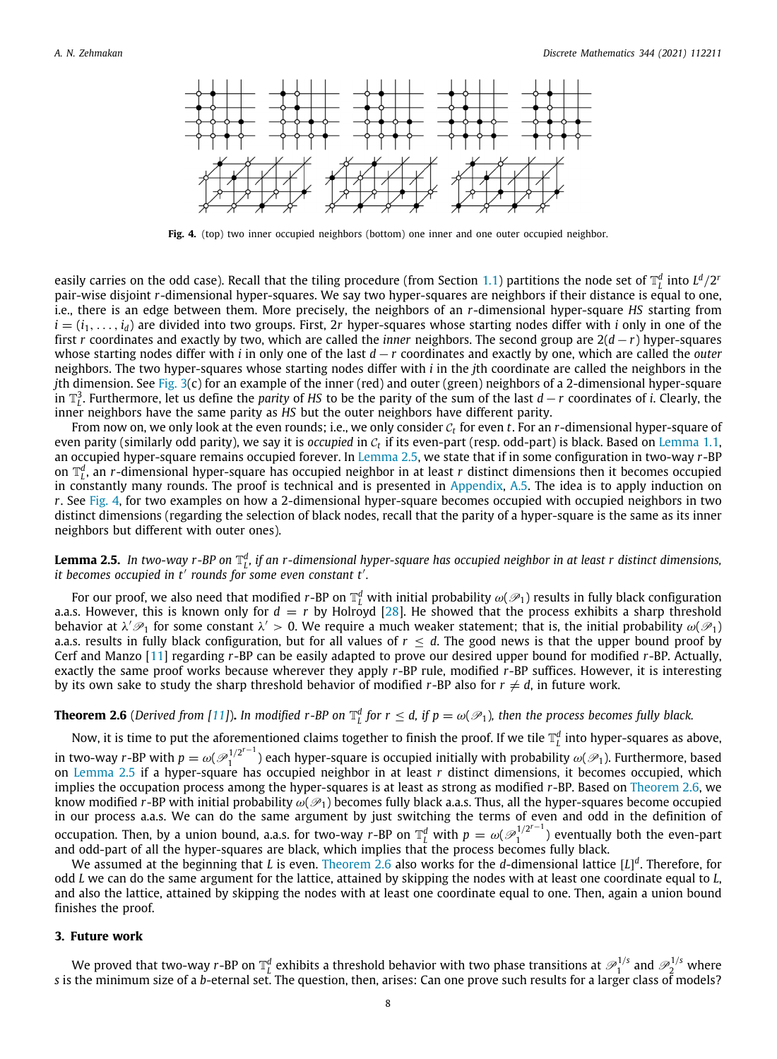

**Fig. 4.** (top) two inner occupied neighbors (bottom) one inner and one outer occupied neighbor.

<span id="page-8-2"></span>easily carries on the odd case). Recall that the tiling procedure (from Section [1.1](#page-2-1)) partitions the node set of  $\mathbb{T}_L^d$  into  $L^d/2^r$ pair-wise disjoint *r*-dimensional hyper-squares. We say two hyper-squares are neighbors if their distance is equal to one, i.e., there is an edge between them. More precisely, the neighbors of an *r*-dimensional hyper-square *HS* starting from  $i = (i_1, \ldots, i_d)$  are divided into two groups. First, 2r hyper-squares whose starting nodes differ with *i* only in one of the first *r* coordinates and exactly by two, which are called the *inner* neighbors. The second group are 2(*d*−*r*) hyper-squares whose starting nodes differ with *i* in only one of the last *d* − *r* coordinates and exactly by one, which are called the *outer* neighbors. The two hyper-squares whose starting nodes differ with *i* in the *j*th coordinate are called the neighbors in the *j*th dimension. See [Fig.](#page-6-1) [3](#page-6-1)(c) for an example of the inner (red) and outer (green) neighbors of a 2-dimensional hyper-square in T 3 *L* . Furthermore, let us define the *parity* of *HS* to be the parity of the sum of the last *d* − *r* coordinates of *i*. Clearly, the inner neighbors have the same parity as *HS* but the outer neighbors have different parity.

From now on, we only look at the even rounds; i.e., we only consider  $c_t$  for even  $t.$  For an  $r$ -dimensional hyper-square of even parity (similarly odd parity), we say it is *occupied* in  $c_t$  if its even-part (resp. odd-part) is black. Based on [Lemma](#page-3-1) [1.1,](#page-3-1)  $\,$ an occupied hyper-square remains occupied forever. In [Lemma](#page-8-1) [2.5,](#page-8-1) we state that if in some configuration in two-way *r*-BP on  $\mathbb{T}_L^d$ , an *r*-dimensional hyper-square has occupied neighbor in at least *r* distinct dimensions then it becomes occupied in constantly many rounds. The proof is technical and is presented in [Appendix,](#page-9-0) [A.5.](#page-12-0) The idea is to apply induction on *r*. See [Fig.](#page-8-2) [4](#page-8-2), for two examples on how a 2-dimensional hyper-square becomes occupied with occupied neighbors in two distinct dimensions (regarding the selection of black nodes, recall that the parity of a hyper-square is the same as its inner neighbors but different with outer ones).

# <span id="page-8-1"></span>**Lemma 2.5.** In two-way r-BP on  $\mathbb{T}_L^d$ , if an r-dimensional hyper-square has occupied neighbor in at least r distinct dimensions, *it becomes occupied in t*′ *rounds for some even constant t*′ *.*

For our proof, we also need that modified  $r$ -BP on  $\mathbb{T}_L^d$  with initial probability  $\omega(\mathscr{P}_1)$  results in fully black configuration a.a.s. However, this is known only for  $d = r$  by Holroyd [\[28\]](#page-14-13). He showed that the process exhibits a sharp threshold behavior at  $\lambda'\mathscr{P}_1$  for some constant  $\lambda'>0.$  We require a much weaker statement; that is, the initial probability  $\omega(\mathscr{P}_1)$ a.a.s. results in fully black configuration, but for all values of  $r \leq d$ . The good news is that the upper bound proof by Cerf and Manzo [\[11\]](#page-13-16) regarding *r*-BP can be easily adapted to prove our desired upper bound for modified *r*-BP. Actually, exactly the same proof works because wherever they apply *r*-BP rule, modified *r*-BP suffices. However, it is interesting by its own sake to study the sharp threshold behavior of modified  $r$ -BP also for  $r \neq d$ , in future work.

# **Theorem 2.6** (Derived from [[11\]](#page-13-16)). In modified r-BP on  $\mathbb{T}_L^d$  for  $r\leq d$ , if  $p=\omega(\mathscr{P}_1)$ , then the process becomes fully black.

<span id="page-8-3"></span>Now, it is time to put the aforementioned claims together to finish the proof. If we tile  $\mathbb{T}_l^d$  into hyper-squares as above, in two-way *r*-BP with  $p = \omega(\mathcal{P}_1^{1/2^{r-1}})$  each hyper-square is occupied initially with probabili  $1^{1/2}$  ) each hyper-square is occupied initially with probability  $\omega(\mathscr{P}_1)$ . Furthermore, based on [Lemma](#page-8-1) [2.5](#page-8-1) if a hyper-square has occupied neighbor in at least *r* distinct dimensions, it becomes occupied, which implies the occupation process among the hyper-squares is at least as strong as modified *r*-BP. Based on [Theorem](#page-8-3) [2.6](#page-8-3), we know modified *r*-BP with initial probability  $\omega(\mathcal{P}_1)$  becomes fully black a.a.s. Thus, all the hyper-squares become occupied in our process a.a.s. We can do the same argument by just switching the terms of even and odd in the definition of occupation. Then, by a union bound, a.a.s. for two-way *r*-BP on  $\mathbb{T}_L^d$  with  $p = \omega(\mathcal{P}_1^{1/2^{r-1}})$  $1^{1/2}$  ) eventually both the even-part and odd-part of all the hyper-squares are black, which implies that the process becomes fully black.

We assumed at the beginning that *L* is even. [Theorem](#page-8-3) [2.6](#page-8-3) also works for the *d*-dimensional lattice [*L*] *d* . Therefore, for odd *L* we can do the same argument for the lattice, attained by skipping the nodes with at least one coordinate equal to *L*, and also the lattice, attained by skipping the nodes with at least one coordinate equal to one. Then, again a union bound finishes the proof.

# **3. Future work**

<span id="page-8-0"></span>We proved that two-way  $r$ -BP on  $\mathbb{T}_L^d$  exhibits a threshold behavior with two phase transitions at  $\mathscr{P}_1^{1/s}$  and  $\mathscr{P}_2^{1/s}$  where *s* is the minimum size of a *b*-eternal set. The question, then, arises: Can one prove such results for a larger class of models?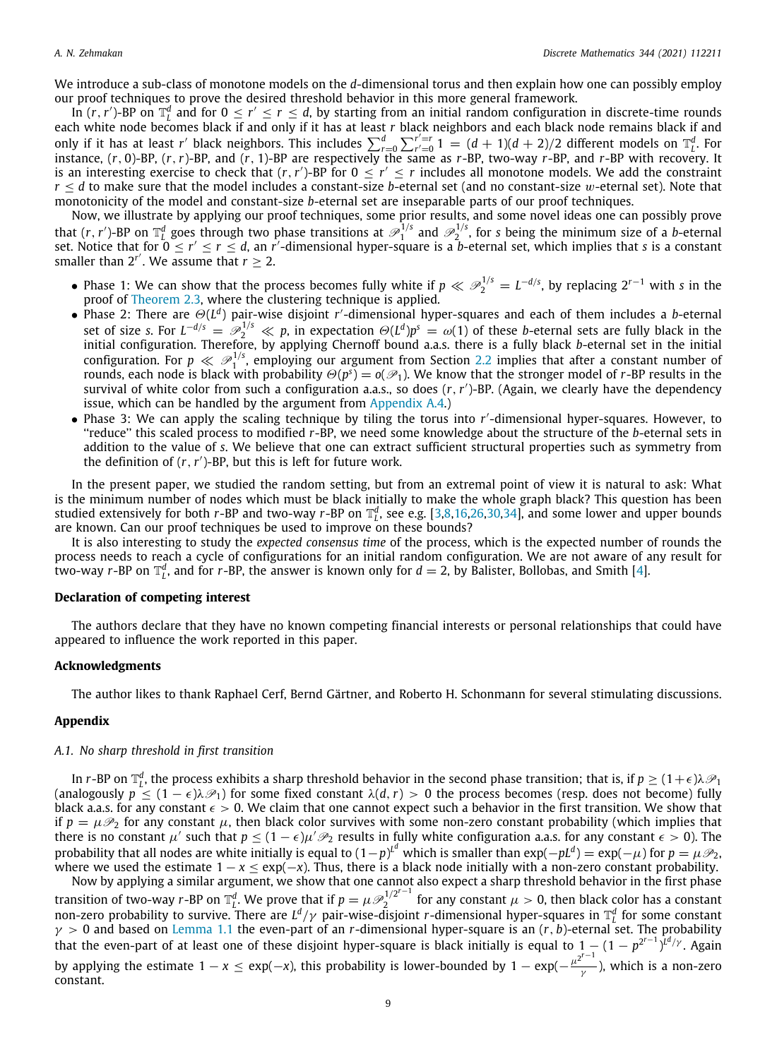We introduce a sub-class of monotone models on the *d*-dimensional torus and then explain how one can possibly employ our proof techniques to prove the desired threshold behavior in this more general framework.

In  $(r, r')$ -BP on  $\mathbb{T}_l^d$  and for  $0 \le r' \le r \le d$ , by starting from an initial random configuration in discrete-time rounds each white node becomes black if and only if it has at least *r* black neighbors and each black node remains black if and only if it has at least *r* black neighbors and each black node remains black if and only if it has at least *r'* black neighbors. This includes  $\sum_{r=0}^{d} \sum_{r'=0}^{r'=r} 1 = (d+1)(d+2)/2$  different models on  $\mathbb{T}_L^d$ . For instance, (*r*, 0)-BP, (*r*,*r*)-BP, and (*r*, 1)-BP are respectively the same as *r*-BP, two-way *r*-BP, and *r*-BP with recovery. It is an interesting exercise to check that  $(r, r')$ -BP for  $0 \le r' \le r$  includes all monotone models. We add the constraint *r* ≤ *d* to make sure that the model includes a constant-size *b*-eternal set (and no constant-size w-eternal set). Note that monotonicity of the model and constant-size *b*-eternal set are inseparable parts of our proof techniques.

Now, we illustrate by applying our proof techniques, some prior results, and some novel ideas one can possibly prove that  $(r, r')$ -BP on  $\mathbb{T}_L^d$  goes through two phase transitions at  $\mathscr{P}_1^{1/s}$  and  $\mathscr{P}_2^{1/s}$ , for *s* being the minimum size of a *b*-eternal set. Notice that for  $0 \le r' \le r \le d$ , an *r'*-dimensional hyper-square is a *b*-eternal set, which implies that *s* is a constant smaller than  $2^{r'}$ . We assume that  $r \geq 2$ .

- Phase 1: We can show that the process becomes fully white if  $p \ll \mathcal{P}_2^{1/s} = L^{-d/s}$ , by replacing  $2^{r-1}$  with *s* in the proof of [Theorem](#page-6-0) [2.3,](#page-6-0) where the clustering technique is applied.
- Phase 2: There are  $\Theta(L^d)$  pair-wise disjoint *r'*-dimensional hyper-squares and each of them includes a *b*-eternal set of size *s*. For  $L^{-d/s} = \mathcal{P}_2^{1/s} \ll p$ , in expectation  $\Theta(L^d)p^s = \omega(1)$  of these *b*-eternal sets are fully black in the initial configuration. Therefore, by applying Chernoff bound a.a.s. there is a fully black *b*-eternal set in the initial configuration. For  $p \ll \mathcal{P}_1^{1/s}$ , employing our argument from Section [2.2](#page-7-1) implies that after a constant number of rounds, each node is black with probability  $\Theta(p^s)=o(\mathscr{P}_1).$  We know that the stronger model of  $r$ -BP results in the survival of white color from such a configuration a.a.s., so does (*r*,*r* ′ )-BP. (Again, we clearly have the dependency issue, which can be handled by the argument from [Appendix](#page-10-2) [A.4](#page-10-2).)
- Phase 3: We can apply the scaling technique by tiling the torus into r'-dimensional hyper-squares. However, to ''reduce'' this scaled process to modified *r*-BP, we need some knowledge about the structure of the *b*-eternal sets in addition to the value of *s*. We believe that one can extract sufficient structural properties such as symmetry from the definition of  $(r, r')$ -BP, but this is left for future work.

In the present paper, we studied the random setting, but from an extremal point of view it is natural to ask: What is the minimum number of nodes which must be black initially to make the whole graph black? This question has been studied extensively for both *r*-BP and two-way *r*-BP on  $\mathbb{T}_L^d$ , see e.g. [[3](#page-13-3)[,8](#page-13-21)[,16,](#page-13-1)[26](#page-14-15)[,30,](#page-14-16)[34](#page-14-17)], and some lower and upper bounds are known. Can our proof techniques be used to improve on these bounds?

It is also interesting to study the *expected consensus time* of the process, which is the expected number of rounds the process needs to reach a cycle of configurations for an initial random configuration. We are not aware of any result for two-way *r*-BP on  $\mathbb{T}_L^d$ , and for *r*-BP, the answer is known only for  $d = 2$ , by Balister, Bollobas, and Smith [\[4\]](#page-13-22).

#### **Declaration of competing interest**

The authors declare that they have no known competing financial interests or personal relationships that could have appeared to influence the work reported in this paper.

# **Acknowledgments**

The author likes to thank Raphael Cerf, Bernd Gärtner, and Roberto H. Schonmann for several stimulating discussions.

## **Appendix**

## <span id="page-9-0"></span>*A.1. No sharp threshold in first transition*

<span id="page-9-1"></span>In *r*-BP on  $\mathbb{T}_L^d$ , the process exhibits a sharp threshold behavior in the second phase transition; that is, if  $p\geq (1+\epsilon)\lambda\mathscr{P}_1$ (analogously  $p \leq (1 - \epsilon)\lambda \mathcal{P}_1$ ) for some fixed constant  $\lambda(d, r) > 0$  the process becomes (resp. does not become) fully black a.a.s. for any constant  $\epsilon > 0$ . We claim that one cannot expect such a behavior in the first transition. We show that if  $p = \mu \mathcal{P}_2$  for any constant  $\mu$ , then black color survives with some non-zero constant probability (which implies that there is no constant  $\mu'$  such that  $p\leq (1-\epsilon)\mu'\mathscr{P}_2$  results in fully white configuration a.a.s. for any constant  $\epsilon>0$ ). The probability that all nodes are white initially is equal to  $(1-p)^{L^d}$  which is smaller than  $\exp(-pL^d)=\exp(-\mu)$  for  $p=\mu \mathscr{P}_2$ , where we used the estimate  $1 - x \le \exp(-x)$ . Thus, there is a black node initially with a non-zero constant probability.

Now by applying a similar argument, we show that one cannot also expect a sharp threshold behavior in the first phase transition of two-way *r*-BP on  $\mathbb{T}_L^d$ . We prove that if  $p = \mu \mathcal{P}_2^{1/2^{r-1}}$  $\mu > 0$ , then black color has a constant non-zero probability to survive. There are *L d* /γ pair-wise-disjoint *r*-dimensional hyper-squares in T *d L* for some constant  $\gamma$   $>$  0 and based on [Lemma](#page-3-1) [1.1](#page-3-1) the even-part of an *r*-dimensional hyper-square is an (*r*, *b*)-eternal set. The probability *i* that the even-part of at least one of these disjoint hyper-square is black initially is equal to 1 − (1 − *p*<sup>2<sup>--1</sup>)<sup>*td/γ*</sup>. Again</sup> by applying the estimate  $1 - x \leq \exp(-x)$ , this probability is lower-bounded by  $1 - \exp(-\frac{\mu^{2^{r-1}}}{x})$  $\overline{_{\gamma}}$  ), which is a non-zero constant.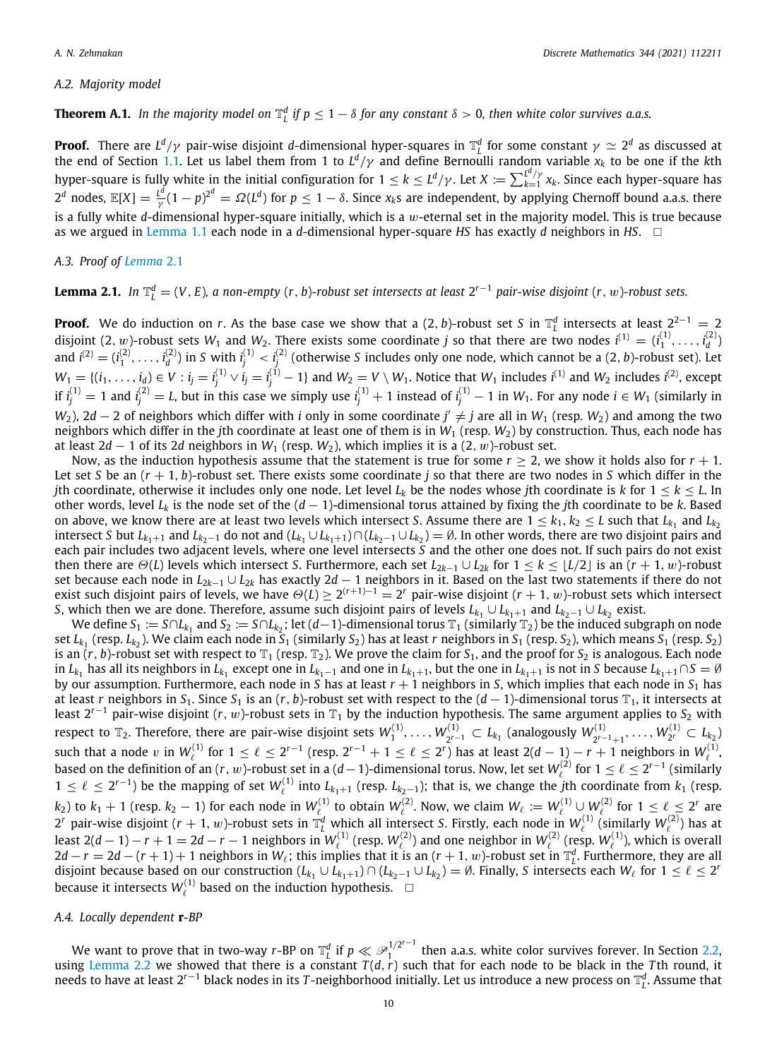# *A.2. Majority model*

# <span id="page-10-0"></span>**Theorem A.1.** In the majority model on  $\mathbb{T}_L^d$  if  $p \leq 1-\delta$  for any constant  $\delta > 0$ , then white color survives a.a.s.

**Proof.** There are  $L^d/\gamma$  pair-wise disjoint *d-*dimensional hyper-squares in  $\mathbb{T}_L^d$  for some constant  $\gamma \simeq 2^d$  as discussed at **Let us the end of Section [1.1.](#page-2-1)** Let us label them from 1 to  $L^d/\gamma$  and define Bernoulli random variable  $x_k$  to be one if the *k*th the end of Section 1.1. Let us label them from 1 to  $L^d/\gamma$  and define Bernoulli random hyper-square is fully white in the initial configuration for  $1\le k\le L^d/\gamma.$  Let  $X\coloneqq\sum_{k=1}^{L^d/\gamma}x_k.$  Since each hyper-square has  $2^d$  nodes,  $\mathbb{E}[X] = \frac{L^d}{N}$  $\frac{d^d}{dt^d}(1-p)^{2^d}=\varOmega(L^d)$  for  $p\leq 1-\delta.$  Since  $x_ks$  are independent, by applying Chernoff bound a.a.s. there is a fully white *d*-dimensional hyper-square initially, which is a w-eternal set in the majority model. This is true because as we argued in [Lemma](#page-3-1) [1.1](#page-3-1) each node in a *d*-dimensional hyper-square *HS* has exactly *d* neighbors in *HS*. □

# *A.3. Proof of [Lemma](#page-5-2)* [2.1](#page-5-2)

<span id="page-10-1"></span>**Lemma 2.1.** In  $\mathbb{T}_L^d = (V, E)$ , a non-empty  $(r, b)$ -robust set intersects at least  $2^{r-1}$  pair-wise disjoint  $(r, w)$ -robust sets.

**Proof.** We do induction on *r*. As the base case we show that a  $(2, b)$ -robust set *S* in  $\mathbb{T}_L^d$  intersects at least  $2^{2-1} = 2$ disjoint  $(2, w)$ -robust sets  $W_1$  and  $W_2$ . There exists some coordinate *j* so that there are two nodes  $i^{(1)} = (i_1^{(1)}, \ldots, i_d^{(2)})$ and  $i^{(2)}=(i_1^{(2)},\ldots,i_d^{(2)})$  in *S* with  $i_j^{(1)}< i_j^{(2)}$  (otherwise *S* includes only one node, which cannot be a (2, *b*)-robust set). Let  $W_1=\{(i_1,\ldots,i_d)\in V: i_j=i_j^{(1)}\vee i_j=i_j^{(1)}-1\}$  and  $W_2=V\setminus W_1.$  Notice that  $W_1$  includes  $i^{(1)}$  and  $W_2$  includes  $i^{(2)}$ , except if  $i_j^{(1)}=1$  and  $i_j^{(2)}=L$ , but in this case we simply use  $i_j^{(1)}+1$  instead of  $i_j^{(1)}-1$  in  $W_1$ . For any node  $i\in W_1$  (similarly in  $W_2$ ), 2*d* − 2 of neighbors which differ with *i* only in some coordinate  $j' \neq j$  are all in  $W_1$  (resp.  $W_2$ ) and among the two neighbors which differ in the *j*th coordinate at least one of them is in  $W_1$  (resp.  $W_2$ ) by construction. Thus, each node has at least  $2d - 1$  of its 2*d* neighbors in *W*<sub>1</sub> (resp. *W*<sub>2</sub>), which implies it is a  $(2, w)$ -robust set.

Now, as the induction hypothesis assume that the statement is true for some  $r \geq 2$ , we show it holds also for  $r + 1$ . Let set *S* be an (*r* + 1, *b*)-robust set. There exists some coordinate *j* so that there are two nodes in *S* which differ in the *j*th coordinate, otherwise it includes only one node. Let level  $L_k$  be the nodes whose *j*th coordinate is *k* for  $1 \le k \le L$ . In other words, level *L<sup>k</sup>* is the node set of the (*d* − 1)-dimensional torus attained by fixing the *j*th coordinate to be *k*. Based on above, we know there are at least two levels which intersect *S*. Assume there are  $1 \leq k_1, k_2 \leq L$  such that  $L_{k_1}$  and  $L_{k_2}$ intersect *S* but  $L_{k_1+1}$  and  $L_{k_2-1}$  do not and  $(L_{k_1}\cup L_{k_1+1})\cap (L_{k_2-1}\cup L_{k_2})=\emptyset$ . In other words, there are two disjoint pairs and each pair includes two adjacent levels, where one level intersects *S* and the other one does not. If such pairs do not exist then there are  $\Theta(L)$  levels which intersect *S*. Furthermore, each set  $L_{2k-1} \cup L_{2k}$  for  $1 \le k \le \lfloor L/2 \rfloor$  is an  $(r + 1, w)$ -robust set because each node in *L*2*k*−<sup>1</sup> ∪ *L*2*<sup>k</sup>* has exactly 2*d* − 1 neighbors in it. Based on the last two statements if there do not exist such disjoint pairs of levels, we have  $\Theta(L)\geq 2^{(r+1)-1}=2^r$  pair-wise disjoint ( $r+1, w$ )-robust sets which intersect *S*, which then we are done. Therefore, assume such disjoint pairs of levels  $L_{k_1} \cup L_{k_1+1}$  and  $L_{k_2-1} \cup L_{k_2}$  exist.

We define  $S_1:=S\cap L_{k_1}$  and  $S_2:=S\cap L_{k_2}$ ; let (*d*−1)-dimensional torus  $\mathbb{T}_1$  (similarly  $\mathbb{T}_2$ ) be the induced subgraph on node set  $L_{k_1}$  (resp.  $L_{k_2}$ ). We claim each node in  $S_1$  (similarly  $S_2$ ) has at least  $r$  neighbors in  $S_1$  (resp.  $S_2$ ), which means  $S_1$  (resp.  $S_2$ ) is an  $(r, b)$ -robust set with respect to  $\mathbb{T}_1$  (resp.  $\mathbb{T}_2$ ). We prove the claim for  $S_1$ , and the proof for  $S_2$  is analogous. Each node in  $L_{k_1}$  has all its neighbors in  $L_{k_1}$  except one in  $L_{k_1-1}$  and one in  $L_{k_1+1}$ , but the one in  $L_{k_1+1}$  is not in *S* because  $L_{k_1+1} \cap S = \emptyset$ by our assumption. Furthermore, each node in S has at least  $r+1$  neighbors in S, which implies that each node in S<sub>1</sub> has at least *r* neighbors in  $S_1$ . Since  $S_1$  is an  $(r, b)$ -robust set with respect to the  $(d - 1)$ -dimensional torus  $\mathbb{T}_1$ , it intersects at least  $2^{r-1}$  pair-wise disjoint (*r*, *w*)-robust sets in  $\mathbb{T}_1$  by the induction hypothesis. The same argument applies to  $S_2$  with respect to  $\mathbb{T}_2.$  Therefore, there are pair-wise disjoint sets  $W_1^{(1)},\ldots,W_{2^{r-1}}^{(1)}$ 2 *<sup>r</sup>*−<sup>1</sup> ⊂ *<sup>L</sup><sup>k</sup>*<sup>1</sup> (analogously *W* (1) *r*<sup>(1)</sup></sup><sub>2</sub>*r* − 1<sub>+1</sub></sub>, ...,  $W_{2^r}^{(1)} \subset L_{k_2}$ such that a node  $v$  in  $W^{(1)}_\ell$  for  $1 \leq \ell \leq 2^{r-1}$  (resp.  $2^{r-1}+1 \leq \ell \leq 2^r$ ) has at least  $2(d-1)-r+1$  neighbors in  $W^{(1)}_\ell$ based on the definition of an  $(r, w)$ -robust set in a  $(d-1)$ -dimensional torus. Now, let set  $W^{(2)}_\ell$  for  $1 \leq \ell \leq 2^{r-1}$  (similarly  $1 ≤ l ≤ 2<sup>r-1</sup>$ ) be the mapping of set  $W_{l}^{(1)}$  into  $L_{k_1+1}$  (resp.  $L_{k_2-1}$ ); that is, we change the *j*th coordinate from  $k_1$  (resp. *k*<sub>2</sub>) to *k*<sub>1</sub> + 1 (resp. *k*<sub>2</sub>  $-$  1) for each node in  $W^{(1)}_\ell$  to obtain  $W^{(2)}_\ell$ . Now, we claim  $W_\ell := W^{(1)}_\ell \cup W^{(2)}_\ell$  for  $1 \leq \ell \leq 2^r$  are  $2^r$  pair-wise disjoint  $(r + 1, w)$ -robust sets in  $\mathbb{T}_L^d$  which all intersect *S*. Firstly, each node in  $W_{\ell}^{(1)}$  (similarly  $W_{\ell}^{(2)}$ ) has at least 2(d − 1) − r + 1 = 2d − r − 1 neighbors in  $W^{(1)}_\ell$  (resp.  $W^{(2)}_\ell$ ) and one neighbor in  $W^{(2)}_\ell$  (resp.  $W^{(1)}_\ell$ ), which is overall  $2d - r = 2d - (r + 1) + 1$  neighbors in  $W_{\ell}$ ; this implies that it is an  $(r + 1, w)$ -robust set in  $\mathbb{T}_{L}^{d}$ . Furthermore, they are all disjoint because based on our construction  $(L_{k_1} \cup L_{k_1+1}) \cap (L_{k_2-1} \cup L_{k_2}) = \emptyset$ . Finally, *S* intersects each  $W_\ell$  for  $1 \leq \ell \leq 2^r$ because it intersects  $W_{\ell}^{(1)}$  based on the induction hypothesis.  $\Box$ 

# *A.4. Locally dependent* **r***-BP*

<span id="page-10-2"></span>We want to prove that in two-way *r*-BP on  $\mathbb{T}_L^d$  if  $p \ll \mathscr{P}^{1/2^{r-1}}_1$ then a.a.s. white color survives forever. In Section [2.2,](#page-7-1) using [Lemma](#page-5-1) [2.2](#page-5-1) we showed that there is a constant *T* (*d*,*r*) such that for each node to be black in the *T* th round, it needs to have at least 2*<sup>r</sup>*−<sup>1</sup> black nodes in its *T* -neighborhood initially. Let us introduce a new process on T *d L* . Assume that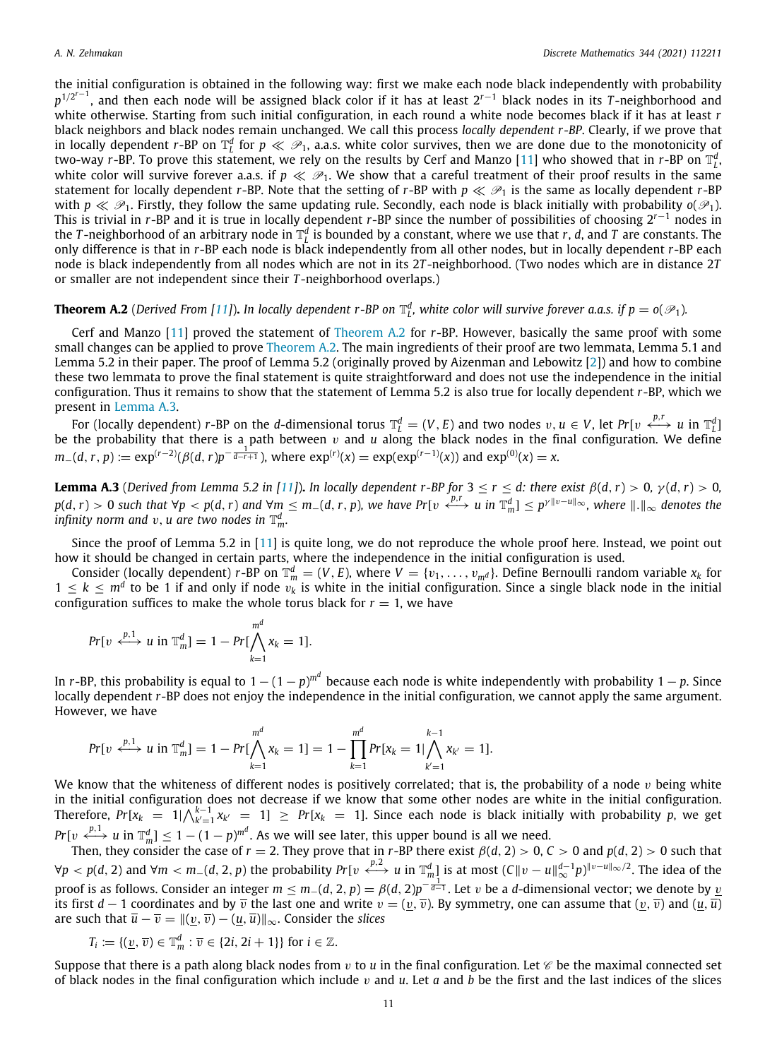the initial configuration is obtained in the following way: first we make each node black independently with probability *p*<sup>1/2r−1</sup>, and then each node will be assigned black color if it has at least 2<sup>r−1</sup> black nodes in its *T*-neighborhood and white otherwise. Starting from such initial configuration, in each round a white node becomes black if it has at least *r* black neighbors and black nodes remain unchanged. We call this process *locally dependent r-BP*. Clearly, if we prove that in locally dependent *r*-BP on  $\mathbb{T}_L^d$  for  $p\ll\mathscr{P}_1$ , a.a.s. white color survives, then we are done due to the monotonicity of two-way *r*-BP. To prove this statement, we rely on the results by Cerf and Manzo [[11](#page-13-16)] who showed that in *r*-BP on  $\mathbb{T}_l^d$ . white color will survive forever a.a.s. if  $p \ll P_1$ . We show that a careful treatment of their proof results in the same statement for locally dependent *r*-BP. Note that the setting of *r*-BP with  $p \ll P_1$  is the same as locally dependent *r*-BP with  $p \ll \mathcal{P}_1$ . Firstly, they follow the same updating rule. Secondly, each node is black initially with probability  $o(\mathcal{P}_1)$ . This is trivial in *r*-BP and it is true in locally dependent *r*-BP since the number of possibilities of choosing 2*<sup>r</sup>*−<sup>1</sup> nodes in the *T*-neighborhood of an arbitrary node in  $\mathbb{T}_L^d$  is bounded by a constant, where we use that *r*, *d*, and *T* are constants. The only difference is that in *r*-BP each node is black independently from all other nodes, but in locally dependent *r*-BP each node is black independently from all nodes which are not in its 2*T* -neighborhood. (Two nodes which are in distance 2*T* or smaller are not independent since their *T* -neighborhood overlaps.)

<span id="page-11-0"></span>**Theorem A.2** (Derived From [[11](#page-13-16)]). In locally dependent r-BP on  $\mathbb{T}_L^d$  white color will survive forever a.a.s. if  $p = o(\mathscr{P}_1)$ .

Cerf and Manzo [\[11\]](#page-13-16) proved the statement of [Theorem](#page-11-0) [A.2](#page-11-0) for *r*-BP. However, basically the same proof with some small changes can be applied to prove [Theorem](#page-11-0) [A.2.](#page-11-0) The main ingredients of their proof are two lemmata, Lemma 5.1 and Lemma 5.2 in their paper. The proof of Lemma 5.2 (originally proved by Aizenman and Lebowitz [[2](#page-13-0)]) and how to combine these two lemmata to prove the final statement is quite straightforward and does not use the independence in the initial configuration. Thus it remains to show that the statement of Lemma 5.2 is also true for locally dependent *r*-BP, which we present in [Lemma](#page-11-1) [A.3](#page-11-1).

For (locally dependent) *r*-BP on the *d*-dimensional torus  $\mathbb{T}_L^d = (V, E)$  and two nodes  $v, u \in V$ , let  $Pr[v \xleftrightarrow{p,r} u \text{ in } \mathbb{T}_L^d]$ be the probability that there is a path between v and *u* along the black nodes in the final configuration. We define  $m_{-}(d, r, p) := \exp^{(r-2)}(\beta(d, r)p^{-\frac{1}{d-r+1}})$ , where  $\exp^{(r)}(x) = \exp(\exp^{(r-1)}(x))$  and  $\exp^{(0)}(x) = x$ .

<span id="page-11-1"></span>**Lemma A.3** (*Derived from Lemma 5.2 in [[11](#page-13-16)]*). *In locally dependent r-BP for*  $3 \le r \le d$ : *there exist*  $\beta(d, r) > 0$ ,  $\gamma(d, r) > 0$ ,  $p(d, r) > 0$  such that  $\forall p < p(d, r)$  and  $\forall m \le m_-(d, r, p)$ , we have  $Pr[v \stackrel{p, r}{\longleftrightarrow} u \text{ in } \mathbb{T}_m^d] \le p^{\gamma ||v-u||_{\infty}}$ , where  $||.||_{\infty}$  denotes the infinity norm and  $v, u$  are two nodes in  $\mathbb{T}^d_m.$ 

Since the proof of Lemma 5.2 in [[11](#page-13-16)] is quite long, we do not reproduce the whole proof here. Instead, we point out how it should be changed in certain parts, where the independence in the initial configuration is used.

Consider (locally dependent) *r*-BP on  $\mathbb{T}_m^d=(V,E)$ , where  $V=\{v_1,\ldots,v_{m^d}\}$ . Define Bernoulli random variable  $x_k$  for  $1 \leq k \leq m^d$  to be 1 if and only if node  $v_k$  is white in the initial configuration. Since a single black node in the initial configuration suffices to make the whole torus black for  $r = 1$ , we have

$$
Pr[v \stackrel{p,1}{\longleftrightarrow} u \text{ in } \mathbb{T}_m^d] = 1 - Pr[\bigwedge_{k=1}^{m^d} x_k = 1].
$$

In *r*-BP, this probability is equal to 1 − (1 − *p*) *m<sup>d</sup>* because each node is white independently with probability 1 − *p*. Since locally dependent *r*-BP does not enjoy the independence in the initial configuration, we cannot apply the same argument. However, we have

$$
Pr[v \stackrel{p,1}{\longleftrightarrow} u \text{ in } \mathbb{T}_m^d] = 1 - Pr[\bigwedge_{k=1}^{m^d} x_k = 1] = 1 - \prod_{k=1}^{m^d} Pr[x_k = 1] \bigwedge_{k'=1}^{k-1} x_{k'} = 1].
$$

We know that the whiteness of different nodes is positively correlated; that is, the probability of a node  $v$  being white in the initial configuration does not decrease if we know that some other nodes are white in the initial configuration. Therefore,  $Pr[x_k = 1 | \bigwedge_{k'=1}^{k-1} x_{k'} = 1] \geq Pr[x_k = 1]$ . Since each node is black initially with probability *p*, we get  $Pr[v \stackrel{p,1}{\longleftrightarrow} u \text{ in } \mathbb{T}_m^d] \le 1 - (1-p)^{m^d}.$  As we will see later, this upper bound is all we need.

Then, they consider the case of  $r = 2$ . They prove that in *r*-BP there exist  $\beta(d, 2) > 0$ ,  $C > 0$  and  $p(d, 2) > 0$  such that  $\forall p< p(d,2)$  and  $\forall m< m_-(d,2,p)$  the probability  $Pr[v\stackrel{p,2}{\longleftrightarrow}u$  in  $\mathbb{T}_m^d]$  is at most  $(\mathcal C\|v-u\|_\infty^{d-1}p)^{\|v-u\|_\infty/2}.$  The idea of the proof is as follows. Consider an integer *m ≤ m*−(*d*, 2, *p*) = *β*(*d*, 2)*p*<sup>− <u>d−</u>1</sup>. Let v be a *d*-dimensional vector; we denote by <u>v</u> its first *d* − 1 coordinates and by  $\overline{v}$  the last one and write  $v = (v, \overline{v})$ . By symmetry, one can assume that  $(v, \overline{v})$  and  $(u, \overline{u})$ are such that  $\overline{u} - \overline{v} = ||(v, \overline{v}) - (\underline{u}, \overline{u})||_{\infty}$ . Consider the *slices* 

$$
T_i := \{ (\underline{v}, \overline{v}) \in \mathbb{T}_m^d : \overline{v} \in \{2i, 2i+1\} \} \text{ for } i \in \mathbb{Z}.
$$

Suppose that there is a path along black nodes from  $v$  to  $u$  in the final configuration. Let  $\mathscr C$  be the maximal connected set of black nodes in the final configuration which include  $v$  and  $u$ . Let  $a$  and  $b$  be the first and the last indices of the slices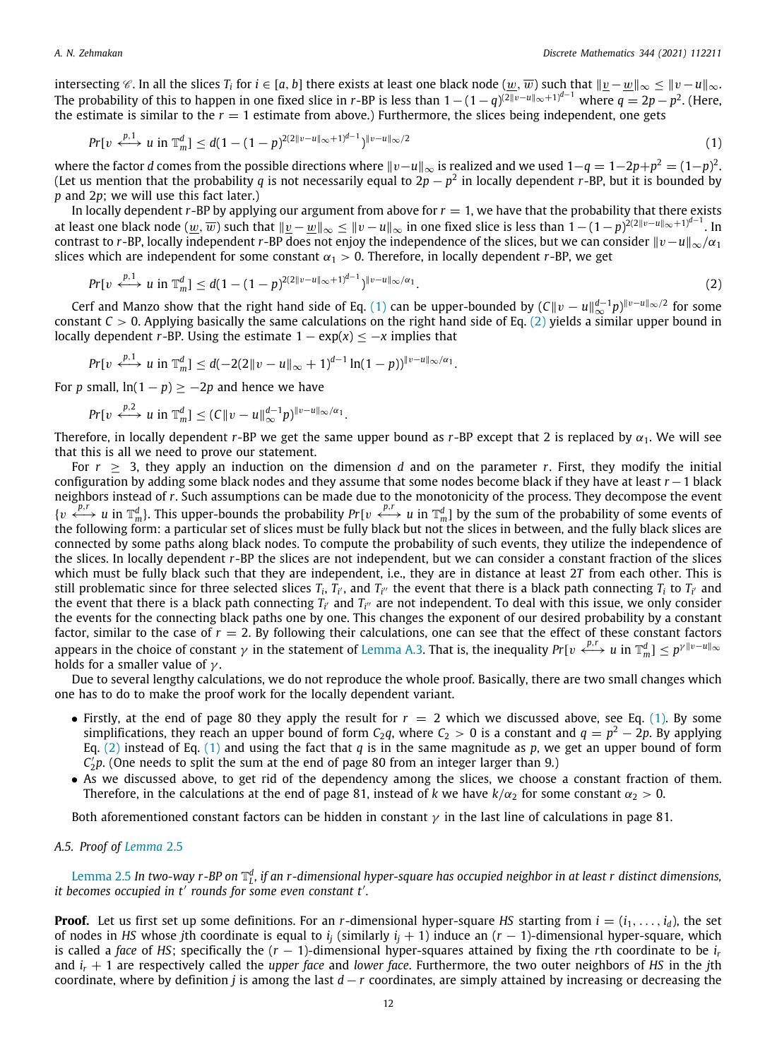intersecting  $\mathscr C.$  In all the slices  $T_i$  for  $i\in[a,b]$  there exists at least one black node  $(\underline{w},\overline{w})$  such that  $\|\underline{v}-\underline{w}\|_\infty\le\|v-u\|_\infty$ The probability of this to happen in one fixed slice in *r*-BP is less than  $1 - (1 - q)^{(2||v - u||_{\infty} + 1)^{d-1}}$  where  $q = 2p - p^2$ . (Here, the estimate is similar to the  $r = 1$  estimate from above.) Furthermore, the slices being independent, one gets

<span id="page-12-1"></span>
$$
Pr[v \stackrel{p,1}{\longleftrightarrow} u \text{ in } \mathbb{T}_m^d] \leq d(1-(1-p)^{2(2||v-u||_{\infty}+1)^{d-1}})^{||v-u||_{\infty}/2} \tag{1}
$$

where the factor *d* comes from the possible directions where ∥v−*u*∥<sup>∞</sup> is realized and we used 1−*q* = 1−2*p*+*p* <sup>2</sup> = (1−*p*) 2 . (Let us mention that the probability *q* is not necessarily equal to 2*p* − *p* 2 in locally dependent *r*-BP, but it is bounded by *p* and 2*p*; we will use this fact later.)

In locally dependent  $r$ -BP by applying our argument from above for  $r = 1$ , we have that the probability that there exists at least one black node  $(w, \overline{w})$  such that  $\| \underline{v} - \underline{w} \|_{\infty} \leq \| v - u \|_{\infty}$  in one fixed slice is less than  $1 - (1 - p)^{2(2\| v - u \|_{\infty} + 1)^{d-1}}$ . In contrast to *r*-BP, locally independent *r*-BP does not enjoy the independence of the slices, but we can consider  $||v-u||_{\infty}/\alpha_1$ slices which are independent for some constant  $\alpha_1 > 0$ . Therefore, in locally dependent *r*-BP, we get

<span id="page-12-2"></span>
$$
Pr[v \xleftrightarrow{p, 1} u \text{ in } \mathbb{T}_m^d] \leq d(1 - (1 - p)^{2(2||v - u||_{\infty} + 1)^{d - 1}})^{||v - u||_{\infty}/\alpha_1}.
$$
\n(2)

Cerf and Manzo show that the right hand side of Eq. ([1\)](#page-12-1) can be upper-bounded by (*C*∥v − *u*∥ *d*−1 <sup>∞</sup> *p*) ∥v−*u*∥∞/2 for some constant  $C > 0$ . Applying basically the same calculations on the right hand side of Eq. ([2\)](#page-12-2) yields a similar upper bound in locally dependent *r*-BP. Using the estimate  $1 - \exp(x) \leq -x$  implies that

$$
Pr[v \stackrel{p,1}{\longleftrightarrow} u \text{ in } \mathbb{T}_m^d] \leq d(-2(2||v-u||_{\infty}+1)^{d-1}\ln(1-p))^{||v-u||_{\infty}/\alpha_1}.
$$

For *p* small,  $ln(1-p) \ge -2p$  and hence we have

$$
Pr[v \stackrel{p,2}{\longleftrightarrow} u \text{ in } \mathbb{T}_m^d] \leq (C \|v - u\|_{\infty}^{d-1} p)^{\|v - u\|_{\infty}/\alpha_1}.
$$

Therefore, in locally dependent *r*-BP we get the same upper bound as *r*-BP except that 2 is replaced by  $\alpha_1$ . We will see that this is all we need to prove our statement.

For  $r \geq 3$ , they apply an induction on the dimension *d* and on the parameter *r*. First, they modify the initial configuration by adding some black nodes and they assume that some nodes become black if they have at least *r* −1 black neighbors instead of *r*. Such assumptions can be made due to the monotonicity of the process. They decompose the event  $\{v \stackrel{p,r}{\longleftrightarrow} u \text{ in } \mathbb{T}_m^d\}$ . This upper-bounds the probability  $Pr[v \stackrel{p,r}{\longleftrightarrow} u \text{ in } \mathbb{T}_m^d]$  by the sum of the probability of some events of the following form: a particular set of slices must be fully black but not the slices in between, and the fully black slices are connected by some paths along black nodes. To compute the probability of such events, they utilize the independence of the slices. In locally dependent *r*-BP the slices are not independent, but we can consider a constant fraction of the slices which must be fully black such that they are independent, i.e., they are in distance at least 2*T* from each other. This is still problematic since for three selected slices  $T_i$ ,  $T_{i'}$ , and  $T_{i''}$  the event that there is a black path connecting  $T_i$  to  $T_{i'}$  and the event that there is a black path connecting  $T_{i'}$  and  $T_{i''}$  are not independent. To deal with this issue, we only consider the events for the connecting black paths one by one. This changes the exponent of our desired probability by a constant factor, similar to the case of  $r = 2$ . By following their calculations, one can see that the effect of these constant factors appears in the choice of constant  $\gamma$  in the statement of [Lemma](#page-11-1) [A.3](#page-11-1). That is, the inequality  $Pr[v \stackrel{p,r}{\longleftrightarrow} u$  in  $\mathbb{T}_m^d] \leq p^{\gamma ||v-u||_{\infty}}$ holds for a smaller value of  $\gamma$ .

Due to several lengthy calculations, we do not reproduce the whole proof. Basically, there are two small changes which one has to do to make the proof work for the locally dependent variant.

- Firstly, at the end of page 80 they apply the result for  $r = 2$  which we discussed above, see Eq. ([1](#page-12-1)). By some simplifications, they reach an upper bound of form  $\mathit{C}_2$ q, where  $\mathit{C}_2>0$  is a constant and  $q=p^2-2p.$  By applying Eq.  $(2)$  $(2)$  instead of Eq.  $(1)$  $(1)$  and using the fact that *q* is in the same magnitude as *p*, we get an upper bound of form *C* ′ 2 *p*. (One needs to split the sum at the end of page 80 from an integer larger than 9.)
- As we discussed above, to get rid of the dependency among the slices, we choose a constant fraction of them. Therefore, in the calculations at the end of page 81, instead of *k* we have  $k/\alpha_2$  for some constant  $\alpha_2 > 0$ .

Both aforementioned constant factors can be hidden in constant  $\gamma$  in the last line of calculations in page 81.

# *A.5. Proof of [Lemma](#page-8-1)* [2.5](#page-8-1)

<span id="page-12-0"></span>[Lemma](#page-8-1) [2.5](#page-8-1) In two-way r-BP on  $\mathbb{T}_l^d$ , if an r-dimensional hyper-square has occupied neighbor in at least r distinct dimensions, *it becomes occupied in t*′ *rounds for some even constant t*′ *.*

**Proof.** Let us first set up some definitions. For an *r*-dimensional hyper-square *HS* starting from  $i = (i_1, \ldots, i_d)$ , the set of nodes in *HS* whose *j*th coordinate is equal to *i<sup>j</sup>* (similarly *i<sup>j</sup>* + 1) induce an (*r* − 1)-dimensional hyper-square, which is called a *face* of *HS*; specifically the  $(r - 1)$ -dimensional hyper-squares attained by fixing the *r*th coordinate to be  $i_r$ and *i<sup>r</sup>* + 1 are respectively called the *upper face* and *lower face*. Furthermore, the two outer neighbors of *HS* in the *j*th coordinate, where by definition *j* is among the last *d* − *r* coordinates, are simply attained by increasing or decreasing the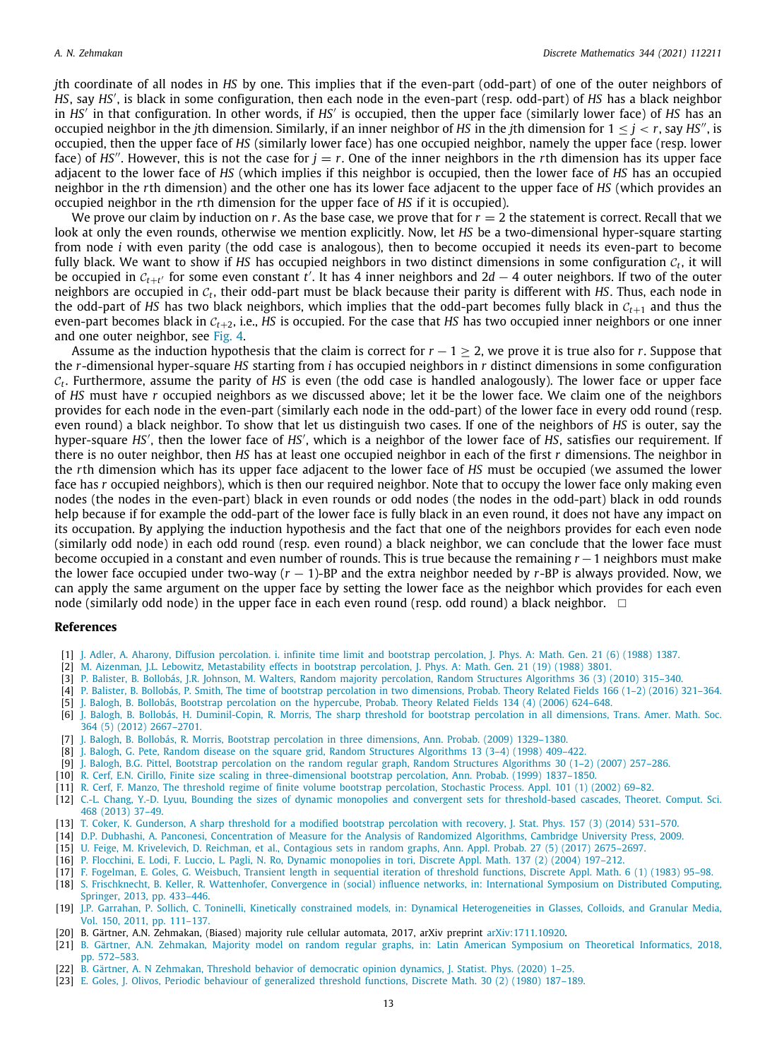*j*th coordinate of all nodes in *HS* by one. This implies that if the even-part (odd-part) of one of the outer neighbors of *HS*, say *HS*′ , is black in some configuration, then each node in the even-part (resp. odd-part) of *HS* has a black neighbor in *HS*′ in that configuration. In other words, if *HS*′ is occupied, then the upper face (similarly lower face) of *HS* has an occupied neighbor in the *j*th dimension. Similarly, if an inner neighbor of *HS* in the *j*th dimension for  $1 \leq j \leq r$ , say *HS''*, is occupied, then the upper face of *HS* (similarly lower face) has one occupied neighbor, namely the upper face (resp. lower face) of *HS''*. However, this is not the case for  $j = r$ . One of the inner neighbors in the *r*th dimension has its upper face adjacent to the lower face of *HS* (which implies if this neighbor is occupied, then the lower face of *HS* has an occupied neighbor in the *r*th dimension) and the other one has its lower face adjacent to the upper face of *HS* (which provides an occupied neighbor in the *r*th dimension for the upper face of *HS* if it is occupied).

We prove our claim by induction on  $r$ . As the base case, we prove that for  $r = 2$  the statement is correct. Recall that we look at only the even rounds, otherwise we mention explicitly. Now, let *HS* be a two-dimensional hyper-square starting from node *i* with even parity (the odd case is analogous), then to become occupied it needs its even-part to become fully black. We want to show if HS has occupied neighbors in two distinct dimensions in some configuration  $c_t$ , it will be occupied in  $c_{t+t'}$  for some even constant  $t'$ . It has 4 inner neighbors and 2d  $-$  4 outer neighbors. If two of the outer neighbors are occupied in C*<sup>t</sup>* , their odd-part must be black because their parity is different with *HS*. Thus, each node in the odd-part of *HS* has two black neighbors, which implies that the odd-part becomes fully black in  $C_{t+1}$  and thus the even-part becomes black in C*t*+2, i.e., *HS* is occupied. For the case that *HS* has two occupied inner neighbors or one inner and one outer neighbor, see [Fig.](#page-8-2) [4](#page-8-2).

Assume as the induction hypothesis that the claim is correct for  $r - 1 \geq 2$ , we prove it is true also for *r*. Suppose that the *r*-dimensional hyper-square *HS* starting from *i* has occupied neighbors in *r* distinct dimensions in some configuration C*t* . Furthermore, assume the parity of *HS* is even (the odd case is handled analogously). The lower face or upper face of *HS* must have *r* occupied neighbors as we discussed above; let it be the lower face. We claim one of the neighbors provides for each node in the even-part (similarly each node in the odd-part) of the lower face in every odd round (resp. even round) a black neighbor. To show that let us distinguish two cases. If one of the neighbors of *HS* is outer, say the hyper-square *HS'*, then the lower face of *HS'*, which is a neighbor of the lower face of *HS*, satisfies our requirement. If there is no outer neighbor, then *HS* has at least one occupied neighbor in each of the first *r* dimensions. The neighbor in the *r*th dimension which has its upper face adjacent to the lower face of *HS* must be occupied (we assumed the lower face has *r* occupied neighbors), which is then our required neighbor. Note that to occupy the lower face only making even nodes (the nodes in the even-part) black in even rounds or odd nodes (the nodes in the odd-part) black in odd rounds help because if for example the odd-part of the lower face is fully black in an even round, it does not have any impact on its occupation. By applying the induction hypothesis and the fact that one of the neighbors provides for each even node (similarly odd node) in each odd round (resp. even round) a black neighbor, we can conclude that the lower face must become occupied in a constant and even number of rounds. This is true because the remaining *r* −1 neighbors must make the lower face occupied under two-way (*r* − 1)-BP and the extra neighbor needed by *r*-BP is always provided. Now, we can apply the same argument on the upper face by setting the lower face as the neighbor which provides for each even node (similarly odd node) in the upper face in each even round (resp. odd round) a black neighbor.  $\Box$ 

#### **References**

- <span id="page-13-13"></span>[1] [J. Adler, A. Aharony, Diffusion percolation. i. infinite time limit and bootstrap percolation, J. Phys. A: Math. Gen. 21 \(6\) \(1988\) 1387.](http://refhub.elsevier.com/S0012-365X(20)30397-6/sb1)
- <span id="page-13-0"></span>[2] [M. Aizenman, J.L. Lebowitz, Metastability effects in bootstrap percolation, J. Phys. A: Math. Gen. 21 \(19\) \(1988\) 3801.](http://refhub.elsevier.com/S0012-365X(20)30397-6/sb2)
- <span id="page-13-3"></span>[3] [P. Balister, B. Bollobás, J.R. Johnson, M. Walters, Random majority percolation, Random Structures Algorithms 36 \(3\) \(2010\) 315–340.](http://refhub.elsevier.com/S0012-365X(20)30397-6/sb3)
- <span id="page-13-22"></span>[4] [P. Balister, B. Bollobás, P. Smith, The time of bootstrap percolation in two dimensions, Probab. Theory Related Fields 166 \(1–2\) \(2016\) 321–364.](http://refhub.elsevier.com/S0012-365X(20)30397-6/sb4)
- <span id="page-13-8"></span>[5] [J. Balogh, B. Bollobás, Bootstrap percolation on the hypercube, Probab. Theory Related Fields 134 \(4\) \(2006\) 624–648.](http://refhub.elsevier.com/S0012-365X(20)30397-6/sb5)
- <span id="page-13-5"></span>[6] [J. Balogh, B. Bollobás, H. Duminil-Copin, R. Morris, The sharp threshold for bootstrap percolation in all dimensions, Trans. Amer. Math. Soc.](http://refhub.elsevier.com/S0012-365X(20)30397-6/sb6) [364 \(5\) \(2012\) 2667–2701.](http://refhub.elsevier.com/S0012-365X(20)30397-6/sb6)
- <span id="page-13-17"></span>[7] [J. Balogh, B. Bollobás, R. Morris, Bootstrap percolation in three dimensions, Ann. Probab. \(2009\) 1329–1380.](http://refhub.elsevier.com/S0012-365X(20)30397-6/sb7)
- <span id="page-13-21"></span>[8] [J. Balogh, G. Pete, Random disease on the square grid, Random Structures Algorithms 13 \(3–4\) \(1998\) 409–422.](http://refhub.elsevier.com/S0012-365X(20)30397-6/sb8)
- <span id="page-13-11"></span>[9] [J. Balogh, B.G. Pittel, Bootstrap percolation on the random regular graph, Random Structures Algorithms 30 \(1–2\) \(2007\) 257–286.](http://refhub.elsevier.com/S0012-365X(20)30397-6/sb9)
- <span id="page-13-15"></span>[10] [R. Cerf, E.N. Cirillo, Finite size scaling in three-dimensional bootstrap percolation, Ann. Probab. \(1999\) 1837–1850.](http://refhub.elsevier.com/S0012-365X(20)30397-6/sb10)
- <span id="page-13-16"></span>[11] [R. Cerf, F. Manzo, The threshold regime of finite volume bootstrap percolation, Stochastic Process. Appl. 101 \(1\) \(2002\) 69–82.](http://refhub.elsevier.com/S0012-365X(20)30397-6/sb11)
- <span id="page-13-9"></span>[12] [C.-L. Chang, Y.-D. Lyuu, Bounding the sizes of dynamic monopolies and convergent sets for threshold-based cascades, Theoret. Comput. Sci.](http://refhub.elsevier.com/S0012-365X(20)30397-6/sb12) [468 \(2013\) 37–49.](http://refhub.elsevier.com/S0012-365X(20)30397-6/sb12)
- <span id="page-13-20"></span>[13] [T. Coker, K. Gunderson, A sharp threshold for a modified bootstrap percolation with recovery, J. Stat. Phys. 157 \(3\) \(2014\) 531–570.](http://refhub.elsevier.com/S0012-365X(20)30397-6/sb13)
- <span id="page-13-19"></span>[14] [D.P. Dubhashi, A. Panconesi, Concentration of Measure for the Analysis of Randomized Algorithms, Cambridge University Press, 2009.](http://refhub.elsevier.com/S0012-365X(20)30397-6/sb14)
- <span id="page-13-10"></span>[15] [U. Feige, M. Krivelevich, D. Reichman, et al., Contagious sets in random graphs, Ann. Appl. Probab. 27 \(5\) \(2017\) 2675–2697.](http://refhub.elsevier.com/S0012-365X(20)30397-6/sb15)
- <span id="page-13-1"></span>[16] [P. Flocchini, E. Lodi, F. Luccio, L. Pagli, N. Ro, Dynamic monopolies in tori, Discrete Appl. Math. 137 \(2\) \(2004\) 197–212.](http://refhub.elsevier.com/S0012-365X(20)30397-6/sb16)
- <span id="page-13-7"></span>[17] [F. Fogelman, E. Goles, G. Weisbuch, Transient length in sequential iteration of threshold functions, Discrete Appl. Math. 6 \(1\) \(1983\) 95–98.](http://refhub.elsevier.com/S0012-365X(20)30397-6/sb17)
- <span id="page-13-2"></span>[18] [S. Frischknecht, B. Keller, R. Wattenhofer, Convergence in \(social\) influence networks, in: International Symposium on Distributed Computing,](http://refhub.elsevier.com/S0012-365X(20)30397-6/sb18) [Springer, 2013, pp. 433–446.](http://refhub.elsevier.com/S0012-365X(20)30397-6/sb18)
- <span id="page-13-14"></span>[19] [J.P. Garrahan, P. Sollich, C. Toninelli, Kinetically constrained models, in: Dynamical Heterogeneities in Glasses, Colloids, and Granular Media,](http://refhub.elsevier.com/S0012-365X(20)30397-6/sb19) [Vol. 150, 2011, pp. 111–137.](http://refhub.elsevier.com/S0012-365X(20)30397-6/sb19)
- <span id="page-13-18"></span>[20] B. Gärtner, A.N. Zehmakan, (Biased) majority rule cellular automata, 2017, arXiv preprint [arXiv:1711.10920.](http://arxiv.org/abs/1711.10920)
- <span id="page-13-12"></span>[21] [B. Gärtner, A.N. Zehmakan, Majority model on random regular graphs, in: Latin American Symposium on Theoretical Informatics, 2018,](http://refhub.elsevier.com/S0012-365X(20)30397-6/sb21) [pp. 572–583.](http://refhub.elsevier.com/S0012-365X(20)30397-6/sb21)
- <span id="page-13-4"></span>[22] [B. Gärtner, A. N Zehmakan, Threshold behavior of democratic opinion dynamics, J. Statist. Phys. \(2020\) 1–25.](http://refhub.elsevier.com/S0012-365X(20)30397-6/sb22)
- <span id="page-13-6"></span>[23] [E. Goles, J. Olivos, Periodic behaviour of generalized threshold functions, Discrete Math. 30 \(2\) \(1980\) 187–189.](http://refhub.elsevier.com/S0012-365X(20)30397-6/sb23)